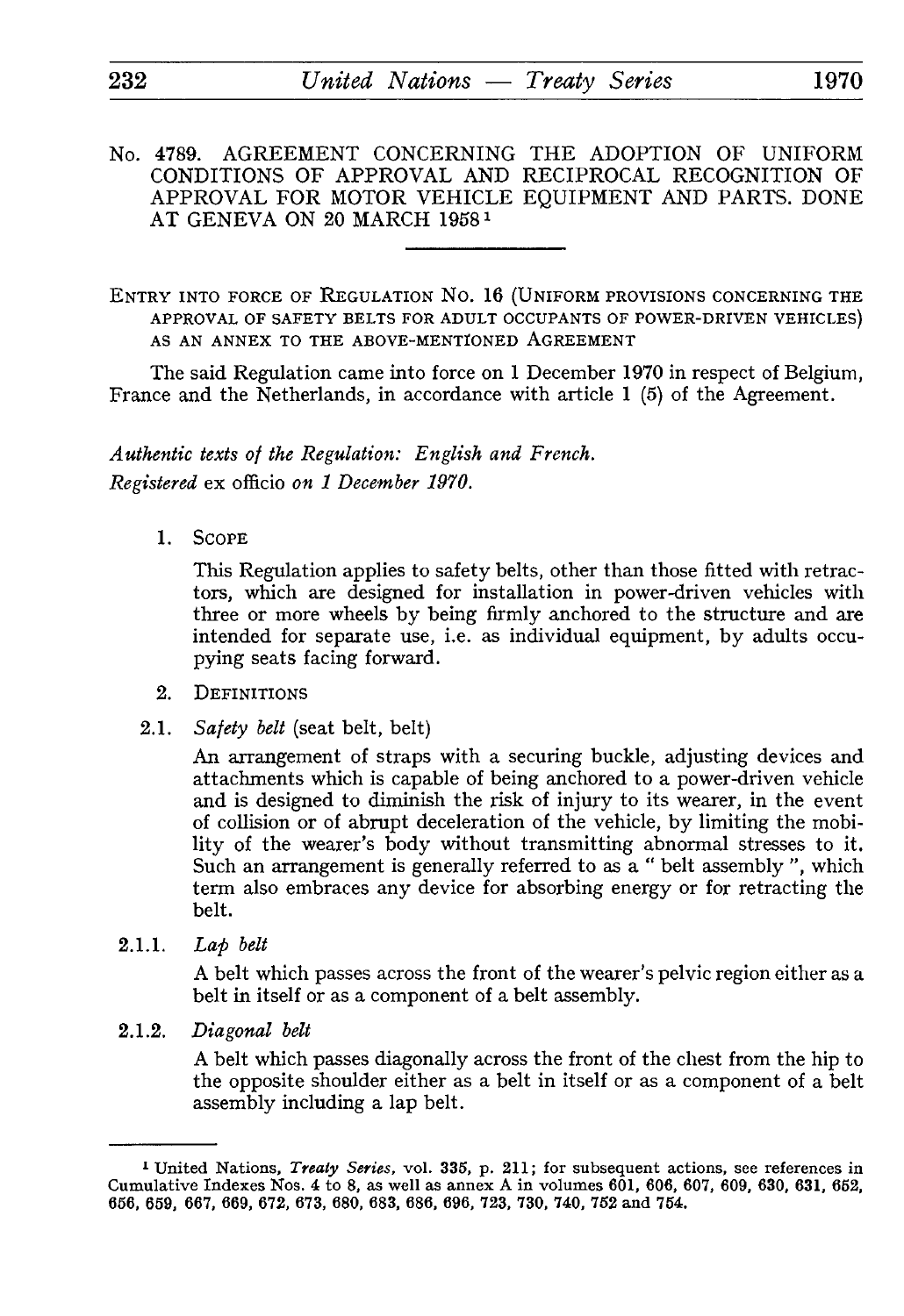- No. 4789. AGREEMENT CONCERNING THE ADOPTION OF UNIFORM CONDITIONS OF APPROVAL AND RECIPROCAL RECOGNITION OF APPROVAL FOR MOTOR VEHICLE EQUIPMENT AND PARTS. DONE AT GENEVA ON 20 MARCH 1958<sup>1</sup>
- ENTRY INTO FORCE OF REGULATION No. 16 (UNIFORM PROVISIONS CONCERNING THE APPROVAL OF SAFETY BELTS FOR ADULT OCCUPANTS OF POWER-DRIVEN VEHICLES) AS AN ANNEX TO THE ABOVE-MENTIONED AGREEMENT

The said Regulation came into force on 1 December 1970 in respect of Belgium, France and the Netherlands, in accordance with article 1 (5) of the Agreement.

*Authentic texts of the Regulation: English and French. Registered* ex officio *on 1 December 1970.*

1. SCOPE

This Regulation applies to safety belts, other than those fitted with retrac tors, which are designed for installation in power-driven vehicles with three or more wheels by being firmly anchored to the structure and are intended for separate use, i.e. as individual equipment, by adults occu pying seats facing forward.

- 2. DEFINITIONS
- 2.1. *Safety belt* (seat belt, belt)

An arrangement of straps with a securing buckle, adjusting devices and attachments which is capable of being anchored to a power-driven vehicle and is designed to diminish the risk of injury to its wearer, in the event of collision or of abrupt deceleration of the vehicle, by limiting the mobi lity of the wearer's body without transmitting abnormal stresses to it. Such an arrangement is generally referred to as a " belt assembly ", which term also embraces any device for absorbing energy or for retracting the belt.

2.1.1. *Lap belt*

A belt which passes across the front of the wearer's pelvic region either as a belt in itself or as a component of a belt assembly.

2.1.2. *Diagonal belt*

A belt which passes diagonally across the front of the chest from the hip to the opposite shoulder either as a belt in itself or as a component of a belt assembly including a lap belt.

<sup>1</sup> United Nations, *Treaty Series,* vol. 335, p. 211; for subsequent actions, see references in Cumulative Indexes Nos. 4 to 8, as well as annex A in volumes 601, 606, 607, 609, 630, 631, 6S2, 656, 659, 667, 669, 672, 673, 680, 683, 686, 696, 723, 730. 740, 752 and 754.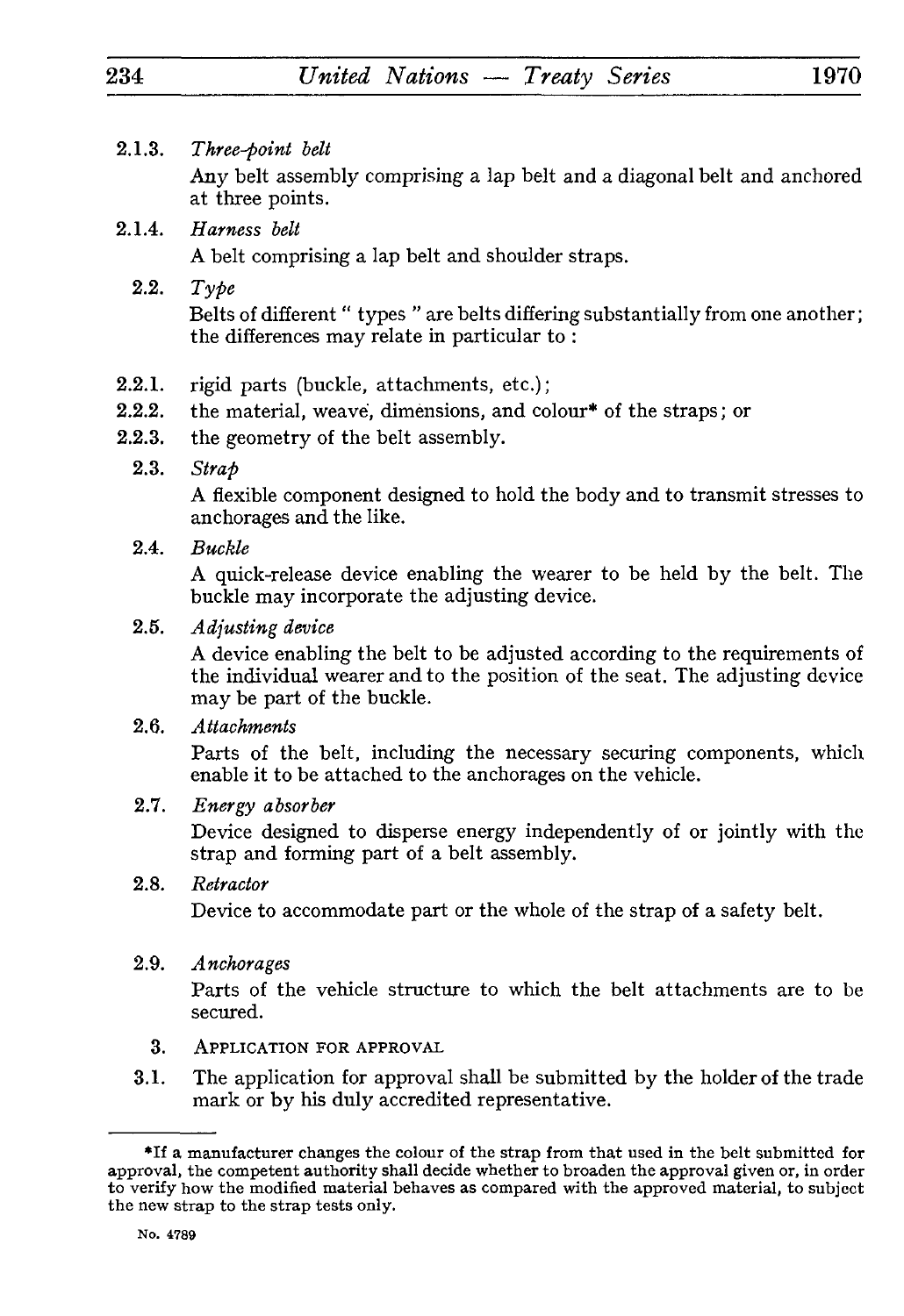2.1.3. *Three-point belt*

Any belt assembly comprising a lap belt and a diagonal belt and anchored at three points.

- 2.1.4. *Harness belt* A belt comprising a lap belt and shoulder straps.
	- 2.2. *Type* Belts of different " types " are belts differing substantially from one another ; the differences may relate in particular to :
- 2.2.1. rigid parts (buckle, attachments, etc.);
- 2.2.2. the material, weave, dimensions, and colour\* of the straps ; or
- 2.2.3. the geometry of the belt assembly.
	- 2.3. *Strap*

A flexible component designed to hold the body and to transmit stresses to anchorages and the like.

2.4. *Buckle*

A quick-release device enabling the wearer to be held by the belt. The buckle may incorporate the adjusting device.

2.5. *Adjusting device*

A device enabling the belt to be adjusted according to the requirements of the individual wearer and to the position of the seat. The adjusting device may be part of the buckle.

2.6. *Attachments*

Parts of the belt, including the necessary securing components, which enable it to be attached to the anchorages on the vehicle.

2.7. *Energy absorber*

Device designed to disperse energy independently of or jointly with the strap and forming part of a belt assembly.

2.8. *Retractor*

Device to accommodate part or the whole of the strap of a safety belt.

2.9. *Anchorages*

Parts of the vehicle structure to which the belt attachments are to be secured.

- 3. APPLICATION FOR APPROVAL
- 3.1. The application for approval shall be submitted by the holder of the trade mark or by his duly accredited representative.

<sup>\*</sup>If a manufacturer changes the colour of the strap from that used in the belt submitted for approval, the competent authority shall decide whether to broaden the approval given or, in order to verify how the modified material behaves as compared with the approved material, to subject the new strap to the strap tests only.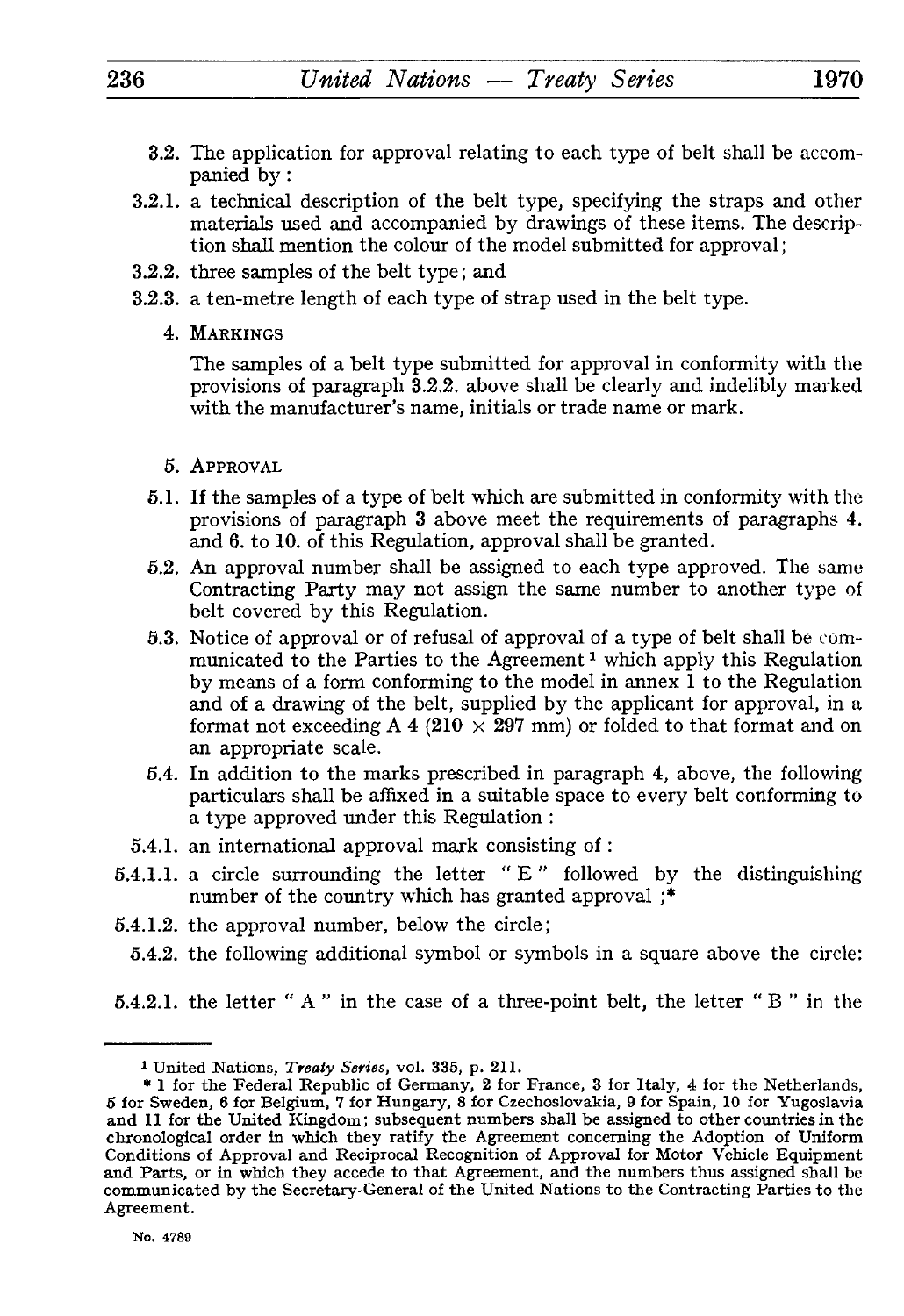- 3.2. The application for approval relating to each type of belt shall be accom panied by :
- 3.2.1. a technical description of the belt type, specifying the straps and other materials used and accompanied by drawings of these items. The descrip tion shall mention the colour of the model submitted for approval ;
- 3.2.2. three samples of the belt type ; and
- 3.2.3. a ten-metre length of each type of strap used in the belt type.
	- 4. MARKINGS

The samples of a belt type submitted for approval in conformity with the provisions of paragraph 3.2.2. above shall be clearly and indelibly marked with the manufacturer's name, initials or trade name or mark.

- 5. APPROVAL
- 6.1. If the samples of a type of belt which are submitted in conformity with the provisions of paragraph 3 above meet the requirements of paragraphs 4. and 6. to 10. of this Regulation, approval shall be granted.
- 5.2. An approval number shall be assigned to each type approved. The same Contracting Party may not assign the same number to another type of belt covered by this Regulation.
- 5.3. Notice of approval or of refusal of approval of a type of belt shall be com municated to the Parties to the Agreement<sup>1</sup> which apply this Regulation by means of a form conforming to the model in annex 1 to the Regulation and of a drawing of the belt, supplied by the applicant for approval, in a format not exceeding A 4 (210  $\times$  297 mm) or folded to that format and on an appropriate scale.
- 5.4. In addition to the marks prescribed in paragraph 4, above, the following particulars shall be affixed in a suitable space to every belt conforming to a type approved under this Regulation :
- 5.4.1. an international approval mark consisting of :
- 5.4.1.1. a circle surrounding the letter " E " followed by the distinguishing number of the country which has granted approval ;\*
- 5.4.1.2. the approval number, below the circle;
	- 5.4.2. the following additional symbol or symbols in a square above the circle:
- 5.4.2.1. the letter " A " in the case of a three-point belt, the letter " B " in the

<sup>1</sup> United Nations, *Treaty Series,* vol. 335, p. 211.

<sup>\* 1</sup> for the Federal Republic of Germany, 2 for France, 3 for Italy, 4 for the Netherlands, 5 for Sweden, 6 for Belgium, 7 for Hungary, 8 for Czechoslovakia, 9 for Spain, 10 for Yugoslavia and 11 for the United Kingdom; subsequent numbers shall be assigned to other countries in the chronological order in which they ratify the Agreement concerning the Adoption of Uniform Conditions of Approval and Reciprocal Recognition of Approval for Motor Vehicle Equipment and Parts, or in which they accede to that Agreement, and the numbers thus assigned shall be communicated by the Secretary-General of the United Nations to the Contracting Parties to the Agreement.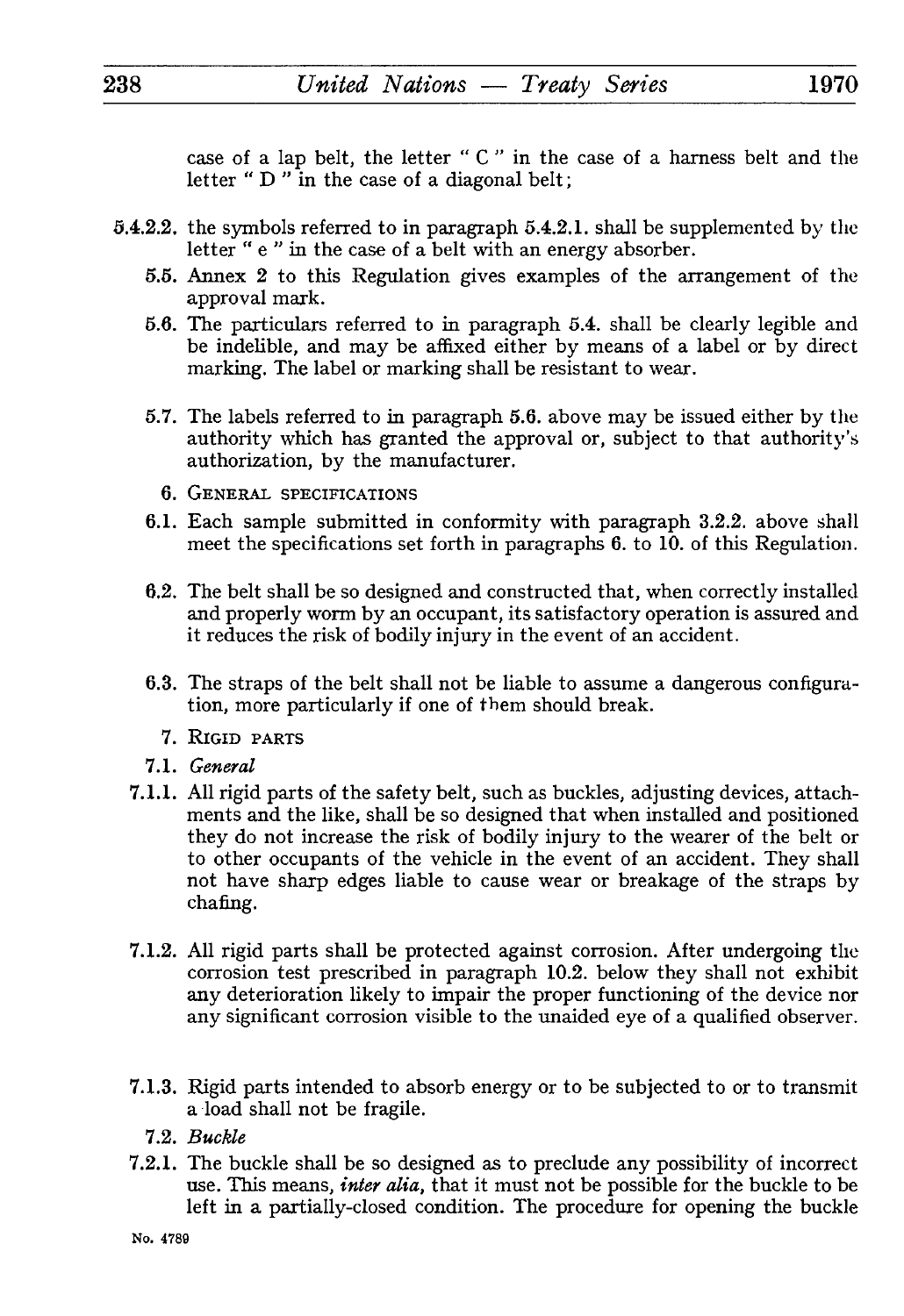case of a lap belt, the letter " C " in the case of a harness belt and the letter " D " in the case of a diagonal belt;

- 5.4.2.2. the symbols referred to in paragraph 5.4.2.1. shall be supplemented by the letter " e " in the case of a belt with an energy absorber.
	- 5.5. Annex 2 to this Regulation gives examples of the arrangement of the approval mark.
	- 5.6. The particulars referred to in paragraph 5.4. shall be clearly legible and be indelible, and may be affixed either by means of a label or by direct marking. The label or marking shall be resistant to wear.
	- 5.7. The labels referred to in paragraph 5.6. above may be issued either by the authority which has granted the approval or, subject to that authority's authorization, by the manufacturer.
		- 6. GENERAL SPECIFICATIONS
	- 6.1. Each sample submitted in conformity with paragraph 3.2.2. above shall meet the specifications set forth in paragraphs 6. to 10. of this Regulation.
	- 6.2. The belt shall be so designed and constructed that, when correctly installed and properly worm by an occupant, its satisfactory operation is assured and it reduces the risk of bodily injury in the event of an accident.
	- 6.3. The straps of the belt shall not be liable to assume a dangerous configura tion, more particularly if one of them should break.
		- 7. RIGID PARTS
	- 7.1. *General*
	- 7.1.1. All rigid parts of the safety belt, such as buckles, adjusting devices, attach ments and the like, shall be so designed that when installed and positioned they do not increase the risk of bodily injury to the wearer of the belt or to other occupants of the vehicle in the event of an accident. They shall not have sharp edges liable to cause wear or breakage of the straps by chafing.
	- 7.1.2. All rigid parts shall be protected against corrosion. After undergoing the corrosion test prescribed in paragraph 10.2. below they shall not exhibit any deterioration likely to impair the proper functioning of the device nor any significant corrosion visible to the unaided eye of a qualified observer.
	- 7.1.3. Rigid parts intended to absorb energy or to be subjected to or to transmit a load shall not be fragile.
		- 7.2. *Buckle*
	- 7.2.1. The buckle shall be so designed as to preclude any possibility of incorrect use. This means, *inter alia,* that it must not be possible for the buckle to be left in a partially-closed condition. The procedure for opening the buckle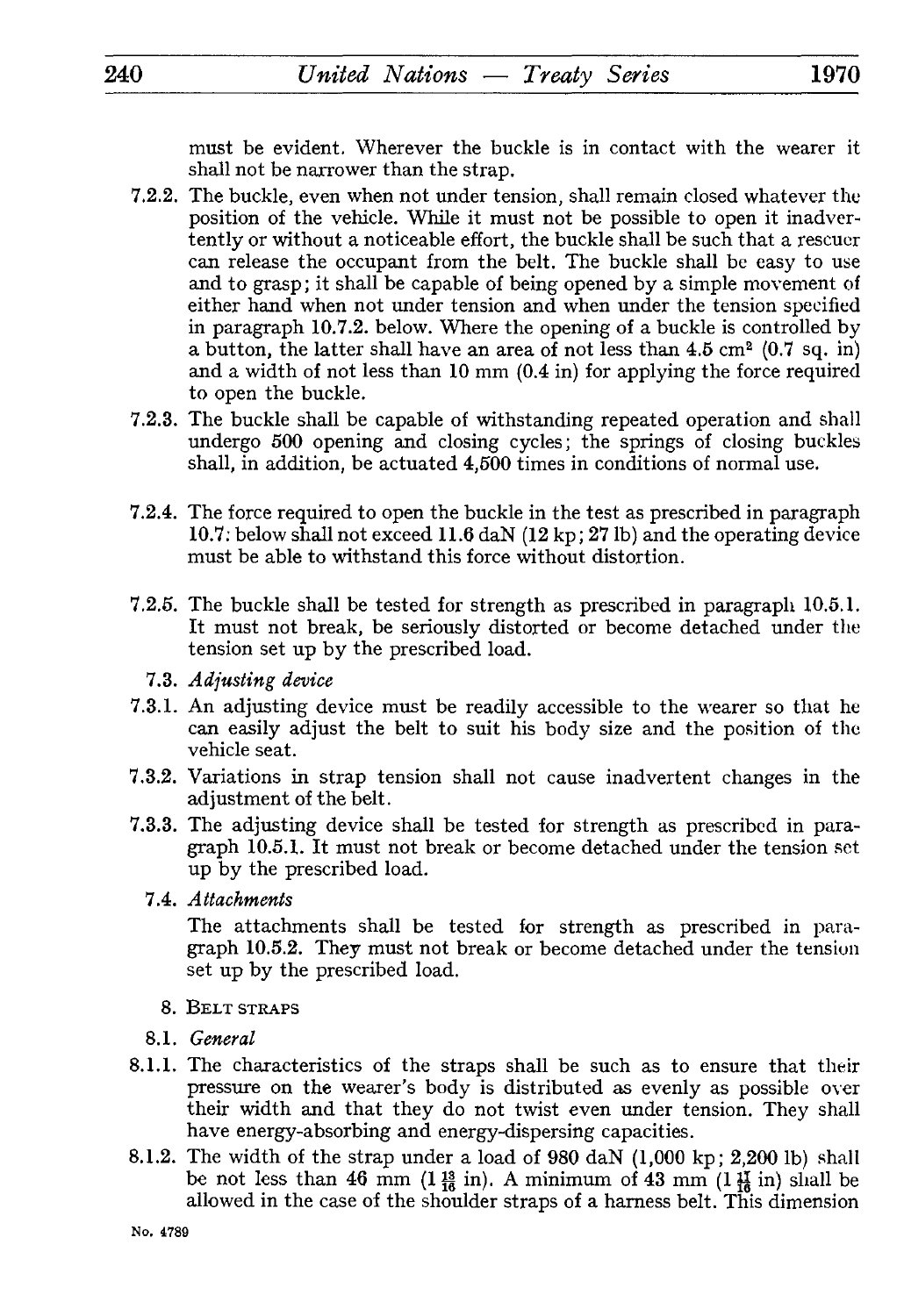must be evident. Wherever the buckle is in contact with the wearer it shall not be narrower than the strap.

- 7.2.2. The buckle, even when not under tension, shall remain closed whatever the position of the vehicle. While it must not be possible to open it inadver tently or without a noticeable effort, the buckle shall be such that a rescuer can release the occupant from the belt. The buckle shall be easy to use and to grasp; it shall be capable of being opened by a simple movement of either hand when not under tension and when under the tension specified in paragraph 10.7.2. below. Where the opening of a buckle is controlled by a button, the latter shall have an area of not less than  $4.5 \text{ cm}^2$  (0.7 sq. in) and a width of not less than 10 mm (0.4 in) for applying the force required to open the buckle.
- 7.2.3. The buckle shall be capable of withstanding repeated operation and shall undergo 500 opening and closing cycles; the springs of closing buckles shall, in addition, be actuated 4,500 times in conditions of normal use.
- 7.2.4. The force required to open the buckle in the test as prescribed in paragraph 10.7: below shall not exceed 11.6 daN (12 kp ; 27 Ib) and the operating device must be able to withstand this force without distortion.
- 7.2.5. The buckle shall be tested for strength as prescribed in paragraph 10.5.1. It must not break, be seriously distorted or become detached under the tension set up by the prescribed load.
	- 7.3. *Adjusting device*
- 7.3.1. An adjusting device must be readily accessible to the wearer so that he can easily adjust the belt to suit his body size and the position of the vehicle seat.
- 7.3.2. Variations in strap tension shall not cause inadvertent changes in the adjustment of the belt.
- 7.3.3. The adjusting device shall be tested for strength as prescribed in para graph 10.5.1. It must not break or become detached under the tension set up by the prescribed load.
	- 7.4. *Attachments*

The attachments shall be tested for strength as prescribed in para graph 10.5.2. They must not break or become detached under the tension set up by the prescribed load.

- *8.* BELT STRAPS
- *8.1. General*
- 8.1.1. The characteristics of the straps shall be such as to ensure that their pressure on the wearer's body is distributed as evenly as possible over their width and that they do not twist even under tension. They shall have energy-absorbing and energy-dispersing capacities.
- 8.1.2. The width of the strap under a load of 980 daN (1,000 kp; 2,200 Ib) shall be not less than 46 mm (1 $\frac{13}{16}$  in). A minimum of 43 mm (1 $\frac{17}{16}$  in) shall be allowed in the case of the shoulder straps of a harness belt. This dimension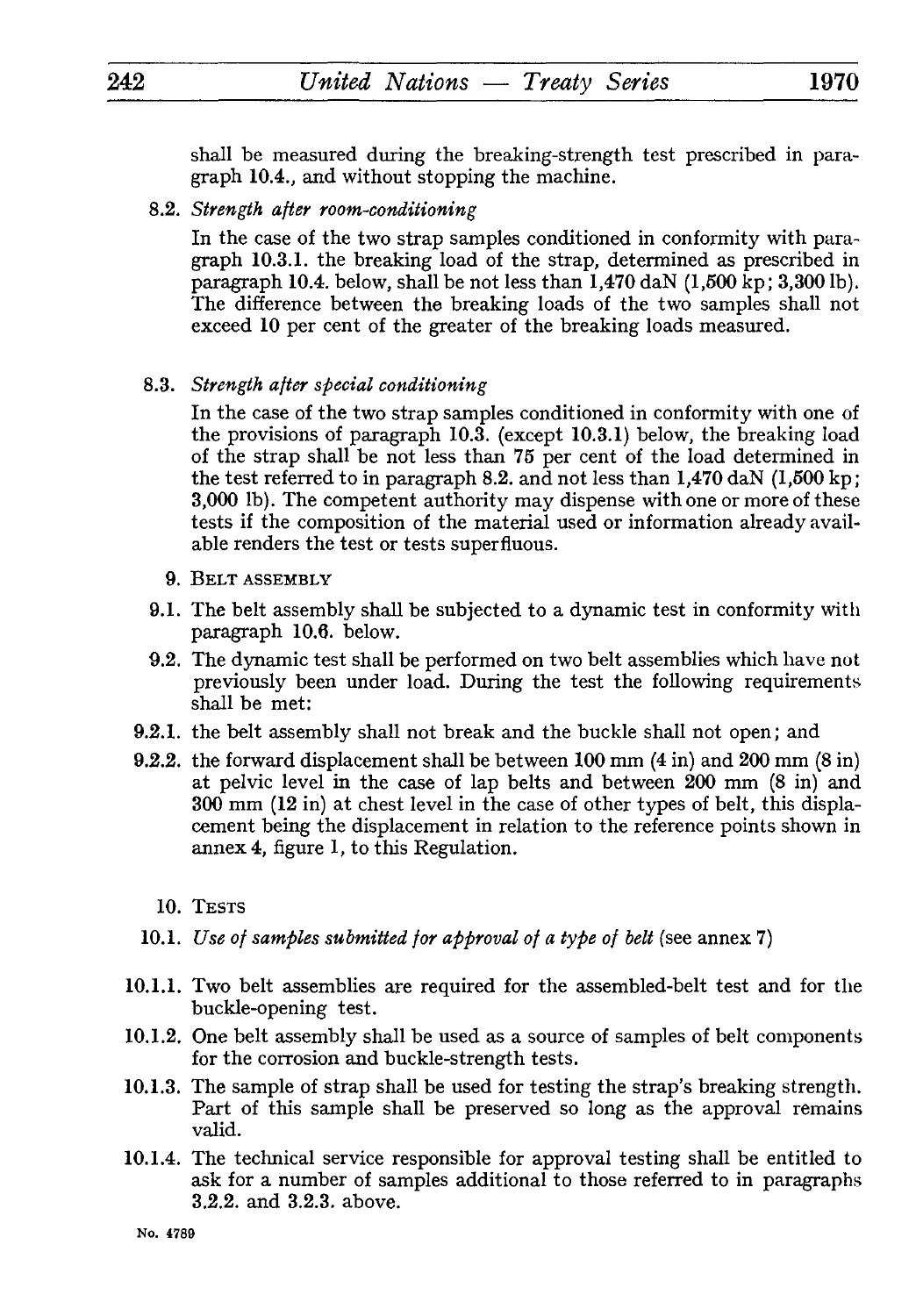shall be measured during the breaking-strength test prescribed in para graph 10.4., and without stopping the machine.

8.2. *Strength after room-conditioning*

In the case of the two strap samples conditioned in conformity with para graph 10.3.1. the breaking load of the strap, determined as prescribed in paragraph 10.4. below, shall be not less than  $1,470$  daN  $(1,500 \text{ kp}; 3,300 \text{ lb})$ . The difference between the breaking loads of the two samples shall not exceed 10 per cent of the greater of the breaking loads measured.

8.3. *Strength after special conditioning*

In the case of the two strap samples conditioned in conformity with one of the provisions of paragraph 10.3. (except 10.3.1) below, the breaking load of the strap shall be not less than 75 per cent of the load determined in the test referred to in paragraph 8.2. and not less than 1,470 daN (1,500 kp; 3,000 Ib). The competent authority may dispense with one or more of these tests if the composition of the material used or information already avail able renders the test or tests superfluous.

- 9. BELT ASSEMBLY
- 9.1. The belt assembly shall be subjected to a dynamic test in conformity with paragraph 10.6. below.
- 9.2. The dynamic test shall be performed on two belt assemblies which have not previously been under load. During the test the following requirements shall be met:
- 9.2.1. the belt assembly shall not break and the buckle shall not open; and
- 9.2.2. the forward displacement shall be between 100 mm (4 in) and 200 mm (8 in) at pelvic level in the case of lap belts and between 200 mm (8 in) and 300 mm (12 in) at chest level in the case of other types of belt, this displa cement being the displacement in relation to the reference points shown in annex 4, figure 1, to this Regulation.
	- 10. TESTS
- 10.1. *Use of samples submitted for approval of a type of belt* (see annex 7)
- 10.1.1. Two belt assemblies are required for the assembled-belt test and for the buckle-opening test.
- 10.1.2. One belt assembly shall be used as a source of samples of belt components for the corrosion and buckle-strength tests.
- 10.1.3. The sample of strap shall be used for testing the strap's breaking strength. Part of this sample shall be preserved so long as the approval remains valid.
- 10.1.4. The technical service responsible for approval testing shall be entitled to ask for a number of samples additional to those referred to in paragraphs 3.2.2. and 3.2.3. above.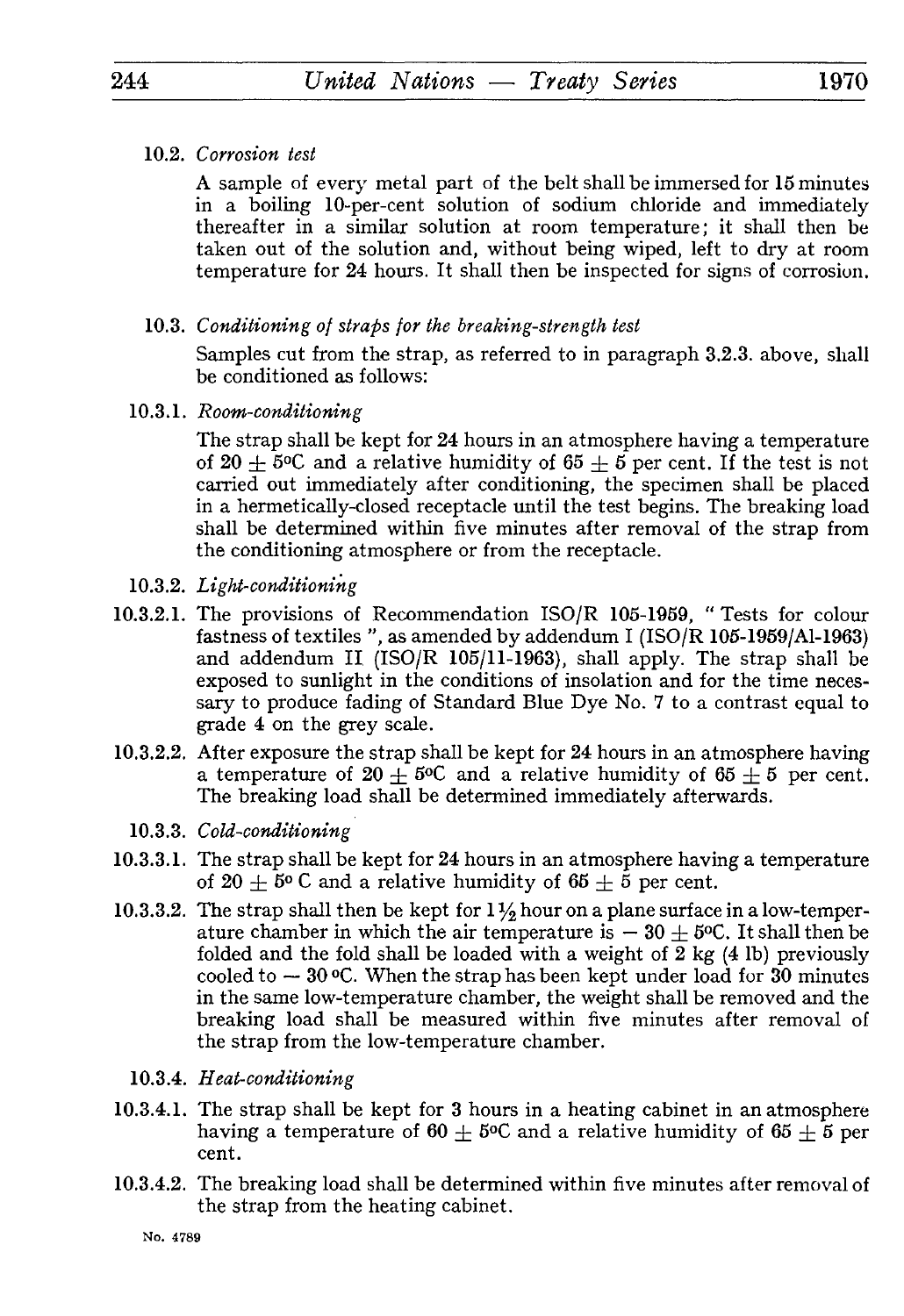## 10.2. *Corrosion test*

A sample of every metal part of the belt shall be immersed for 15 minutes in a boiling 10-per-cent solution of sodium chloride and immediately thereafter in a similar solution at room temperature; it shall then be taken out of the solution and, without being wiped, left to dry at room temperature for 24 hours. It shall then be inspected for signs of corrosion.

10.3. *Conditioning of straps for the breaking-strength test*

Samples cut from the strap, as referred to in paragraph 3.2.3. above, shall be conditioned as follows:

10.3.1. *Room-conditioning*

The strap shall be kept for 24 hours in an atmosphere having a temperature of 20  $\pm$  5°C and a relative humidity of 65  $\pm$  5 per cent. If the test is not carried out immediately after conditioning, the specimen shall be placed in a hermetically-closed receptacle until the test begins. The breaking load shall be determined within five minutes after removal of the strap from the conditioning atmosphere or from the receptacle.

- 10.3.2. *Light-conditioning*
- 10.3.2.1. The provisions of Recommendation ISO/R 105-1959, " Tests for colour fastness of textiles ", as amended by addendum I (ISO/R 105-1959/A1-1963) and addendum II (ISO/R 105/11-1963), shall apply. The strap shall be exposed to sunlight in the conditions of insolation and for the time neces sary to produce fading of Standard Blue Dye No. 7 to a contrast equal to grade 4 on the grey scale.
- 10.3.2.2. After exposure the strap shall be kept for 24 hours in an atmosphere having a temperature of  $20 \pm 5^{\circ}$  and a relative humidity of  $65 \pm 5$  per cent. The breaking load shall be determined immediately afterwards.
	- 10.3.3. *Cold-conditioning*
- 10.3.3.1. The strap shall be kept for 24 hours in an atmosphere having a temperature of 20  $\pm$  5° C and a relative humidity of 65  $\pm$  5 per cent.
- 10.3.3.2. The strap shall then be kept for  $1\frac{1}{2}$  hour on a plane surface in a low-temperature chamber in which the air temperature is  $-30 \pm 5^{\circ}$ C. It shall then be folded and the fold shall be loaded with a weight of 2 kg (4 Ib) previously cooled to  $-30$  °C. When the strap has been kept under load for 30 minutes in the same low-temperature chamber, the weight shall be removed and the breaking load shall be measured within five minutes after removal of the strap from the low-temperature chamber.
	- 10.3.4. *Heat-conditioning*
- 10.3.4.1. The strap shall be kept for 3 hours in a heating cabinet in an atmosphere having a temperature of  $60 + 5^{\circ}C$  and a relative humidity of  $65 + 5^{\circ}C$ cent.
- 10.3.4.2. The breaking load shall be determined within five minutes after removal of the strap from the heating cabinet.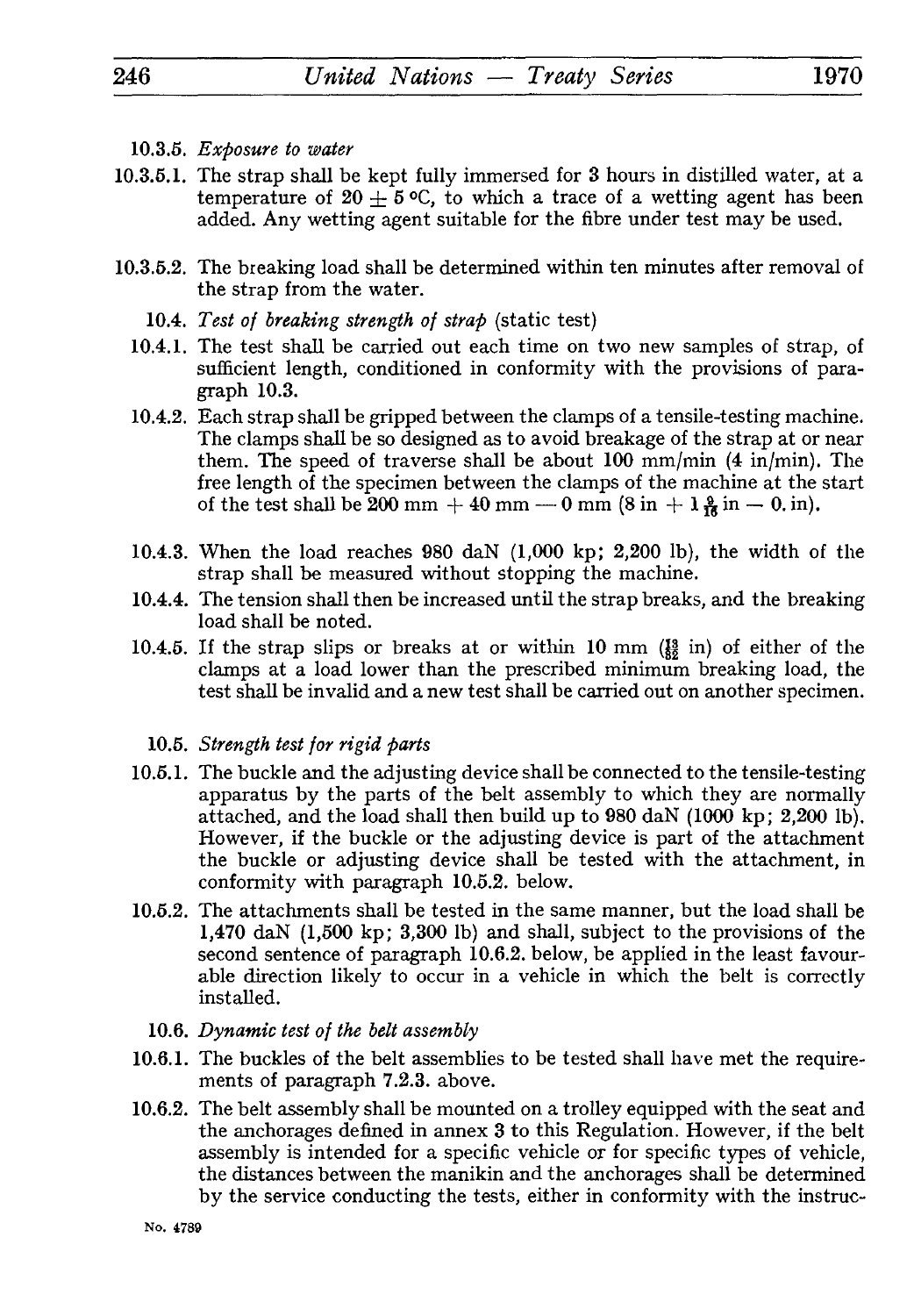- 10.3.5. *Exposure to water*
- 10.3.5.1. The strap shall be kept fully immersed for 3 hours in distilled water, at a temperature of  $20 \pm 5$  °C, to which a trace of a wetting agent has been added Approximation agent suitable for the fibre under test ma added. Any wetting agent suitable for the fibre under test may be used.
- 10.3.5.2. The breaking load shall be determined within ten minutes after removal of the strap from the water.
	- 10.4. *Test of breaking strength of strap* (static test)
	- 10.4.1. The test shall be carried out each time on two new samples of strap, of sufficient length, conditioned in conformity with the provisions of para graph 10.3.
	- 10.4.2. Each strap shall be gripped between the clamps of a tensile-testing machine. The clamps shall be so designed as to avoid breakage of the strap at or near them. The speed of traverse shall be about 100 mm/min (4 in/min). The free length of the specimen between the clamps of the machine at the start of the test shall be 200 mm  $+$  40 mm  $-$  0 mm  $(8 \text{ in } + 1 \frac{9}{16} \text{ in } -0 \text{ in}).$
	- 10.4.3. When the load reaches 980 daN (1,000 kp; 2,200 Ib), the width of the strap shall be measured without stopping the machine.
	- 10.4.4. The tension shall then be increased until the strap breaks, and the breaking load shall be noted.
	- 10.4.5. If the strap slips or breaks at or within 10 mm  $\frac{19}{18}$  in) of either of the clamps at a load lower than the prescribed minimum breaking load, the test shall be invalid and a new test shall be carried out on another specimen.

## 10.5. *Strength test for rigid parts*

- 10.5.1. The buckle and the adjusting device shall be connected to the tensile-testing apparatus by the parts of the belt assembly to which they are normally attached, and the load shall then build up to 980 daN (1000 kp; 2,200 Ib). However, if the buckle or the adjusting device is part of the attachment the buckle or adjusting device shall be tested with the attachment, in conformity with paragraph 10.5.2. below.
- 10.5.2. The attachments shall be tested in the same manner, but the load shall be 1,470 daN (1,500 kp; 3,300 Ib) and shall, subject to the provisions of the second sentence of paragraph 10.6.2. below, be applied in the least favour able direction likely to occur in a vehicle in which the belt is correctly installed.
	- 10.6. *Dynamic test of the belt assembly*
- 10.6.1. The buckles of the belt assemblies to be tested shall have met the require ments of paragraph 7.2.3. above.
- 10.6.2. The belt assembly shall be mounted on a trolley equipped with the seat and the anchorages defined in annex 3 to this Regulation. However, if the belt assembly is intended for a specific vehicle or for specific types of vehicle, the distances between the manikin and the anchorages shall be determined by the service conducting the tests, either in conformity with the instruc-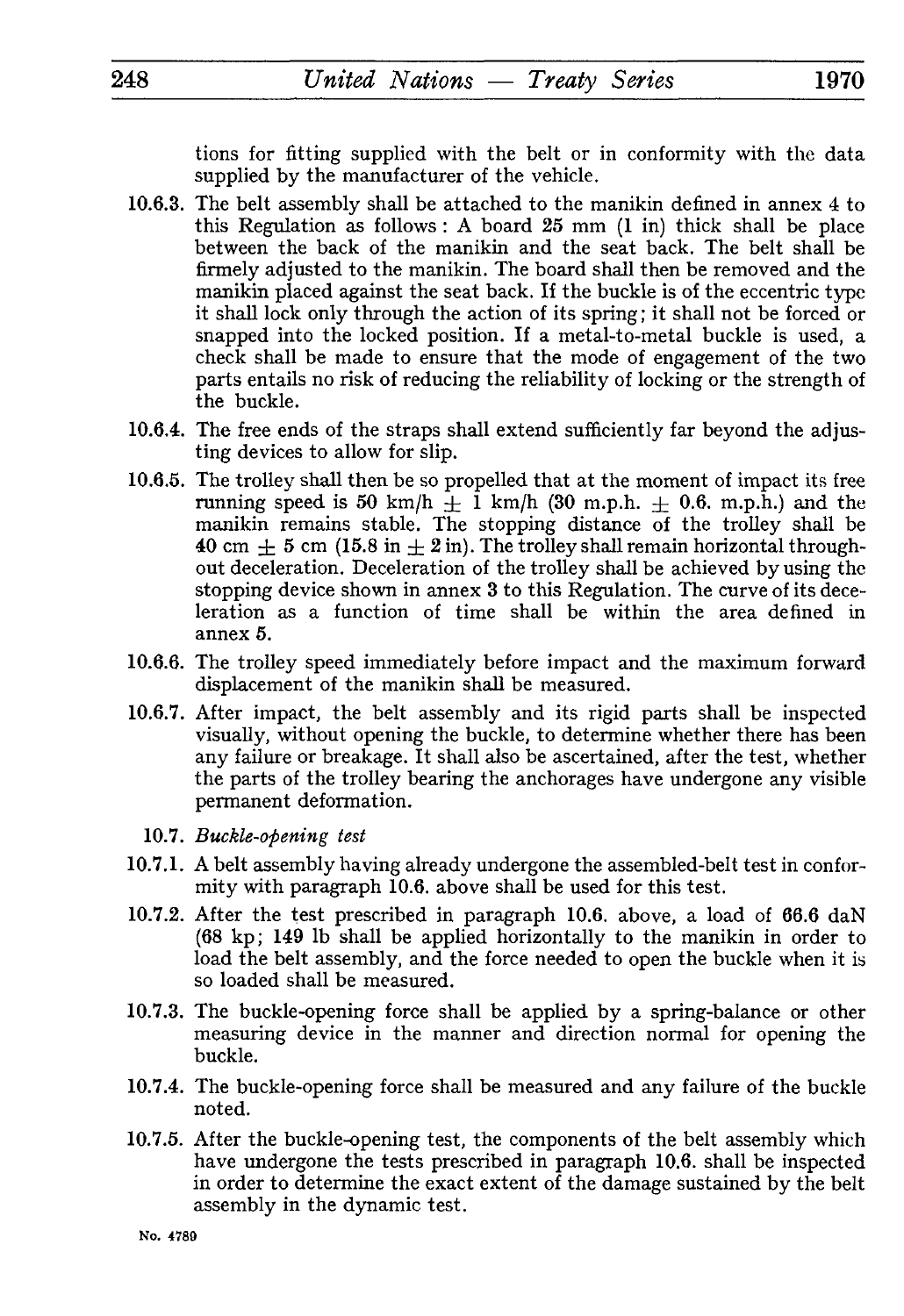tions for fitting supplied with the belt or in conformity with the data supplied by the manufacturer of the vehicle.

- 10.6.3. The belt assembly shall be attached to the manikin defined in annex 4 to this Regulation as follows : A board 25 mm (1 in) thick shall be place between the back of the manikin and the seat back. The belt shall be firmely adjusted to the manikin. The board shall then be removed and the manikin placed against the seat back. If the buckle is of the eccentric type it shall lock only through the action of its spring ; it shall not be forced or snapped into the locked position. If a metal-to-metal buckle is used, a check shall be made to ensure that the mode of engagement of the two parts entails no risk of reducing the reliability of locking or the strength of the buckle.
- 10.6.4. The free ends of the straps shall extend sufficiently far beyond the adjus ting devices to allow for slip.
- 10.6.5. The trolley shall then be so propelled that at the moment of impact its free running speed is 50 km/h  $+$  1 km/h (30 m.p.h.  $+$  0.6. m.p.h.) and the manikin remains stable. The stopping distance of the trolley shall be 40 cm  $\pm$  5 cm (15.8 in  $\pm$  2 in). The trolley shall remain horizontal throughout deceleration. Deceleration of the trolley shall be achieved by using the stopping device shown in annex 3 to this Regulation. The curve of its dece leration as a function of time shall be within the area defined in annex 5.
- 10.6.6. The trolley speed immediately before impact and the maximum forward displacement of the manikin shall be measured.
- 10.6.7. After impact, the belt assembly and its rigid parts shall be inspected visually, without opening the buckle, to determine whether there has been any failure or breakage. It shall also be ascertained, after the test, whether the parts of the trolley bearing the anchorages have undergone any visible permanent deformation.
	- 10.7. *Buckle-opening test*
- 10.7.1. A belt assembly having already undergone the assembled-belt test in confor mity with paragraph 10.6. above shall be used for this test.
- 10.7.2. After the test prescribed in paragraph 10.6. above, a load of 66.6 daN (68 kp; 149 Ib shall be applied horizontally to the manikin in order to load the belt assembly, and the force needed to open the buckle when it is so loaded shall be measured.
- 10.7.3. The buckle-opening force shall be applied by a spring-balance or other measuring device in the manner and direction normal for opening the buckle.
- 10.7.4. The buckle-opening force shall be measured and any failure of the buckle noted.
- 10.7.5. After the buckle-opening test, the components of the belt assembly which have undergone the tests prescribed in paragraph 10.6. shall be inspected in order to determine the exact extent of the damage sustained by the belt assembly in the dynamic test.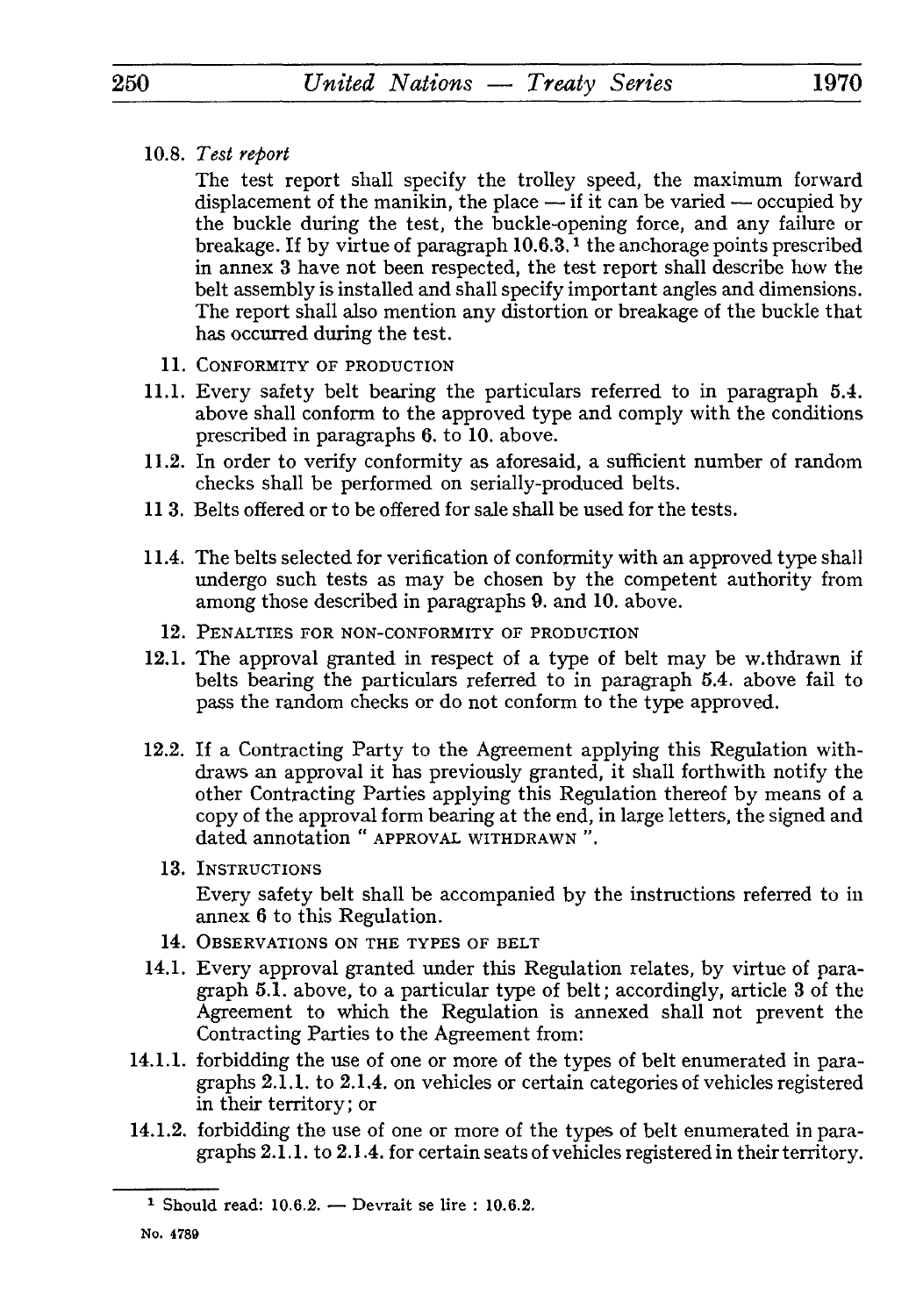10.8. *Test report*

The test report shall specify the trolley speed, the maximum forward displacement of the manikin, the place  $-$  if it can be varied  $-$  occupied by the buckle during the test, the buckle-opening force, and any failure or breakage. If by virtue of paragraph 10.6.3. *l* the anchorage points prescribed in annex 3 have not been respected, the test report shall describe how the belt assembly is installed and shall specify important angles and dimensions. The report shall also mention any distortion or breakage of the buckle that has occurred during the test.

- **11.** CONFORMITY OF PRODUCTION
- 11.1. Every safety belt bearing the particulars referred to in paragraph 5.4. above shall conform to the approved type and comply with the conditions prescribed in paragraphs 6. to 10. above.
- 11.2. In order to verify conformity as aforesaid, a sufficient number of random checks shall be performed on serially-produced belts.
- 113. Belts offered or to be offered for sale shall be used for the tests.
- 11.4. The belts selected for verification of conformity with an approved type shall undergo such tests as may be chosen by the competent authority from among those described in paragraphs 9. and 10. above.
	- **12.** PENALTIES FOR NON-CONFORMITY OF PRODUCTION
- 12.1. The approval granted in respect of a type of belt may be w.thdrawn if belts bearing the particulars referred to in paragraph 5.4. above fail to pass the random checks or do not conform to the type approved.
- 12.2. If a Contracting Party to the Agreement applying this Regulation with draws an approval it has previously granted, it shall forthwith notify the other Contracting Parties applying this Regulation thereof by means of a copy of the approval form bearing at the end, in large letters, the signed and dated annotation " APPROVAL WITHDRAWN ".
	- 13. INSTRUCTIONS

Every safety belt shall be accompanied by the instructions referred to in annex 6 to this Regulation.

- 14. OBSERVATIONS ON THE TYPES OF BELT
- 14.1. Every approval granted under this Regulation relates, by virtue of para graph 5.1. above, to a particular type of belt; accordingly, article 3 of the Agreement to which the Regulation is annexed shall not prevent the Contracting Parties to the Agreement from:
- 14.1.1. forbidding the use of one or more of the types of belt enumerated in para graphs 2.1.1. to 2.1.4. on vehicles or certain categories of vehicles registered in their territory; or
- 14.1.2. forbidding the use of one or more of the types of belt enumerated in para graphs 2.1.1. to 2.1.4. for certain seats of vehicles registered in their territory.

<sup>&</sup>lt;sup>1</sup> Should read:  $10.6.2.$  Devrait se lire :  $10.6.2.$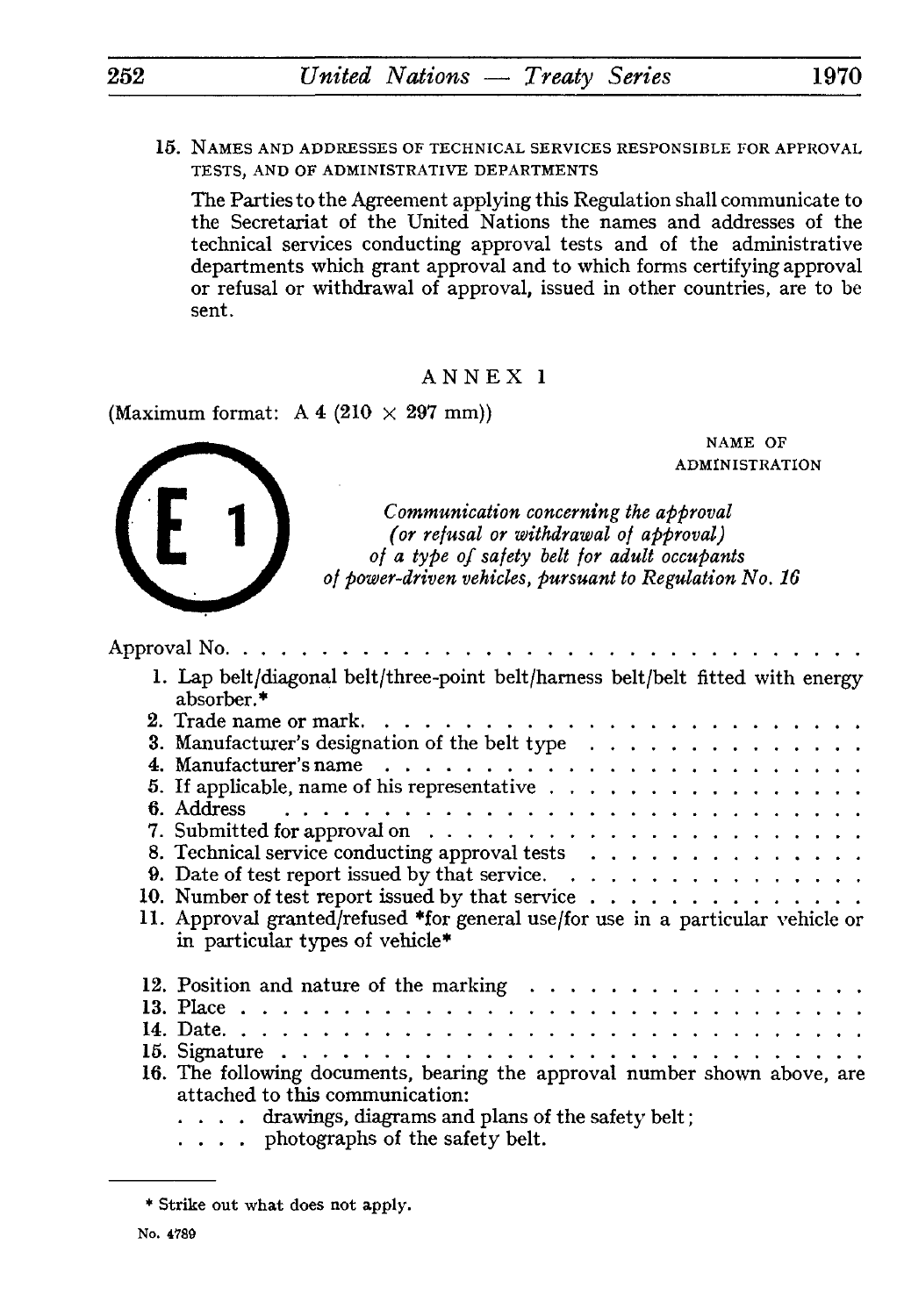15. NAMES AND ADDRESSES OF TECHNICAL SERVICES RESPONSIBLE FOR APPROVAL TESTS, AND OF ADMINISTRATIVE DEPARTMENTS

The Parties to the Agreement applying this Regulation shall communicate to the Secretariat of the United Nations the names and addresses of the technical services conducting approval tests and of the administrative departments which grant approval and to which forms certifying approval or refusal or withdrawal of approval, issued in other countries, are to be sent.

ANNEX 1

(Maximum format:  $A 4 (210 \times 297 \text{ mm})$ )

NAME OF ADMINISTRATION

*Communication concerning the approval (or refusal or withdrawal of approval) of a type of safety belt for adult occupants of power-driven vehicles, pursuant to Regulation No. 16*

| Approval No. $\dots$                                                                                                                                                                                                    |
|-------------------------------------------------------------------------------------------------------------------------------------------------------------------------------------------------------------------------|
| 1. Lap belt/diagonal belt/three-point belt/harness belt/belt fitted with energy<br>absorber.*                                                                                                                           |
|                                                                                                                                                                                                                         |
| 3. Manufacturer's designation of the belt type                                                                                                                                                                          |
|                                                                                                                                                                                                                         |
| 5. If applicable, name of his representative                                                                                                                                                                            |
|                                                                                                                                                                                                                         |
|                                                                                                                                                                                                                         |
| 8. Technical service conducting approval tests                                                                                                                                                                          |
|                                                                                                                                                                                                                         |
| 9. Date of test report issued by that service. $\ldots$                                                                                                                                                                 |
|                                                                                                                                                                                                                         |
| 11. Approval granted/refused *for general use/for use in a particular vehicle or<br>in particular types of vehicle*                                                                                                     |
| 12. Position and nature of the marking $\ldots \ldots \ldots \ldots \ldots \ldots$                                                                                                                                      |
|                                                                                                                                                                                                                         |
|                                                                                                                                                                                                                         |
|                                                                                                                                                                                                                         |
| 16. The following documents, bearing the approval number shown above, are<br>attached to this communication:<br>$\ldots$ arawings, diagrams and plans of the safety belt;<br>$\ldots$ , photographs of the safety belt. |
|                                                                                                                                                                                                                         |

<sup>\*</sup> Strike out what does not apply.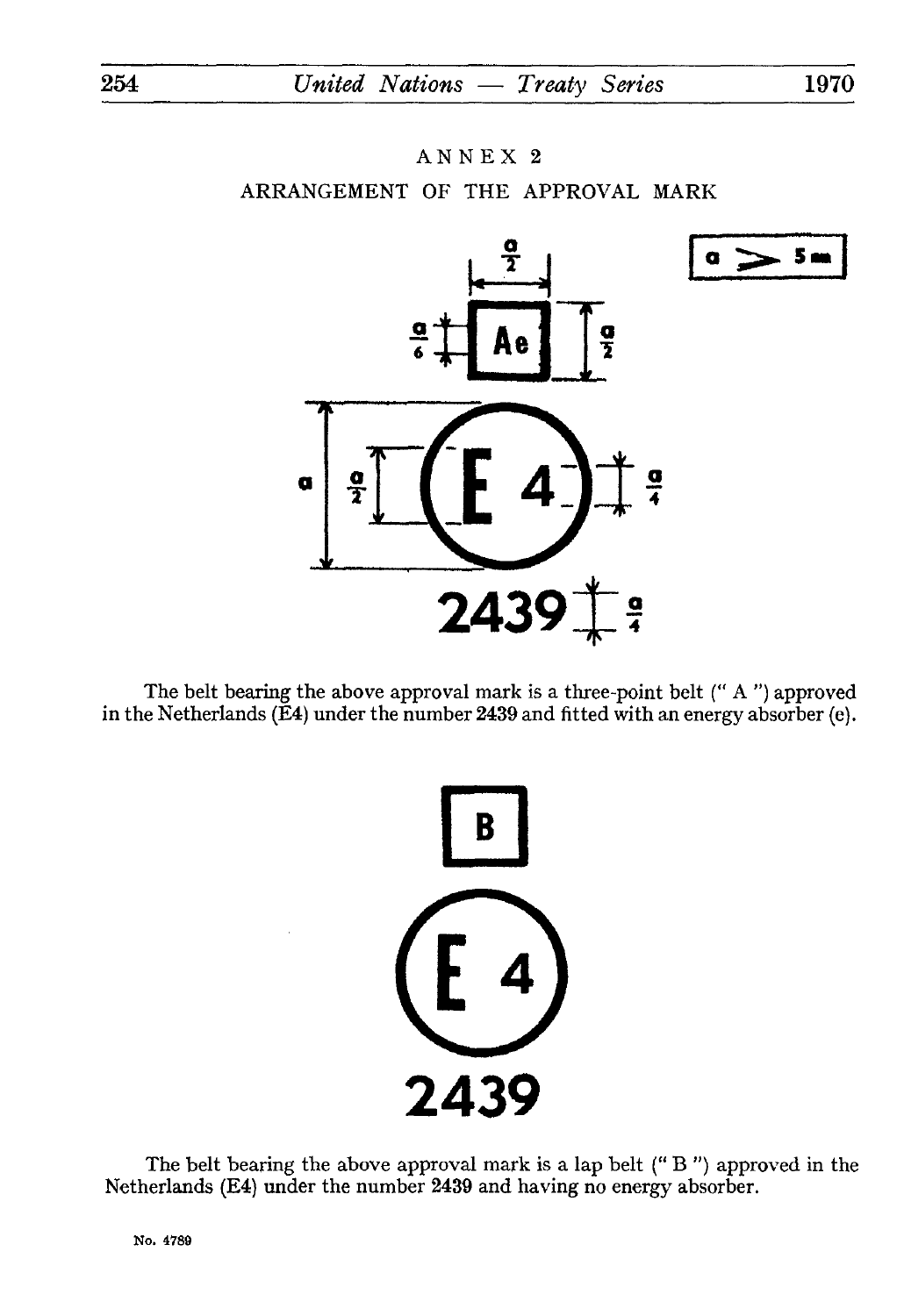# ANNEX 2 ARRANGEMENT OF THE APPROVAL MARK



The belt bearing the above approval mark is a three-point belt (" A ") approved in the Netherlands (E4) under the number 2439 and fitted with an energy absorber (e).



The belt bearing the above approval mark is a lap belt (" B ") approved in the Netherlands (E4) under the number 2439 and having no energy absorber.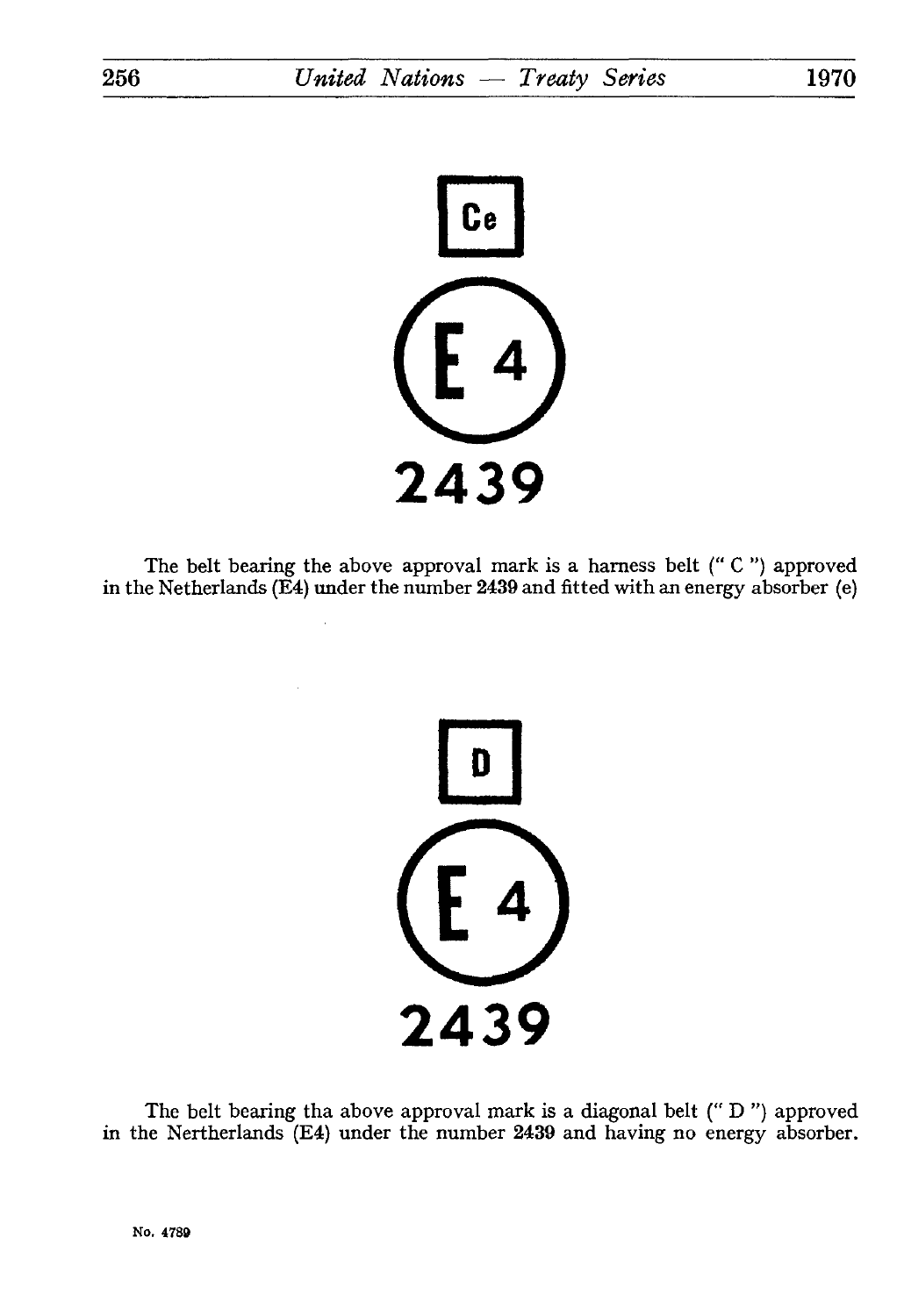**2439**

The belt bearing the above approval mark is a harness belt (" C ") approved in the Netherlands (E4) under the number 2439 and fitted with an energy absorber (e)



The belt bearing tha above approval mark is a diagonal belt (" D ") approved in the Nertherlands (E4) under the number 2439 and having no energy absorber.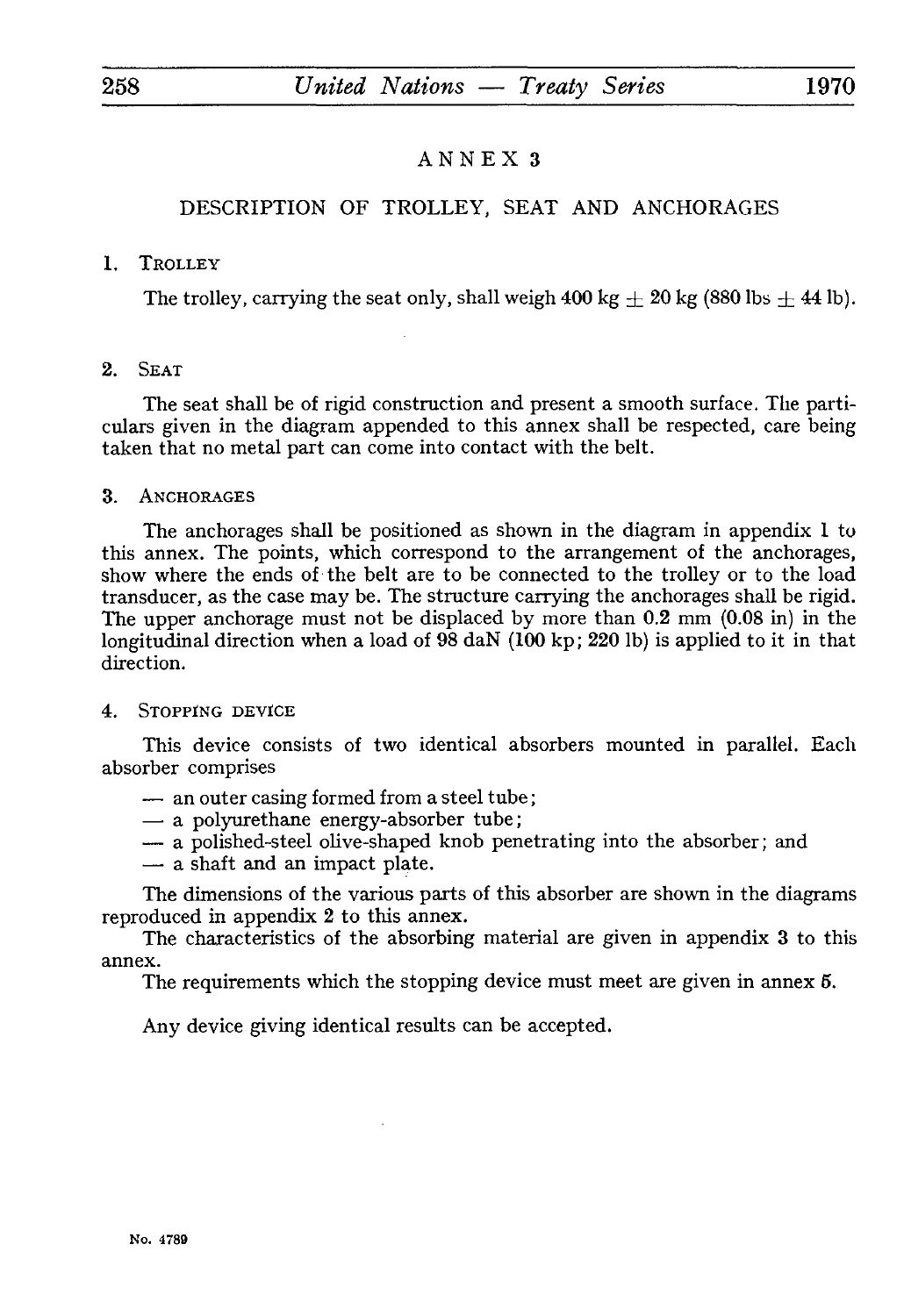## DESCRIPTION OF TROLLEY, SEAT AND ANCHORAGES

## 1. TROLLEY

The trolley, carrying the seat only, shall weigh  $400 \text{ kg} \pm 20 \text{ kg}$  (880 lbs  $\pm 44 \text{ lb}$ ).

## 2. SEAT

The seat shall be of rigid construction and present a smooth surface. The parti culars given in the diagram appended to this annex shall be respected, care being taken that no metal part can come into contact with the belt.

## 3. ANCHORAGES

The anchorages shall be positioned as shown in the diagram in appendix 1 to this annex. The points, which correspond to the arrangement of the anchorages, show where the ends of the belt are to be connected to the trolley or to the load transducer, as the case may be. The structure carrying the anchorages shall be rigid. The upper anchorage must not be displaced by more than 0.2 mm (0.08 in) in the longitudinal direction when a load of  $98 \text{ d}$  (100 kp; 220 lb) is applied to it in that direction.

#### 4. STOPPING DEVICE

This device consists of two identical absorbers mounted in parallel. Each absorber comprises This device consists of two identical abs<br>rber comprises<br>- an outer casing formed from a steel tube;<br>- a polymethane energy-absorber tube;

- rber comprises<br>- an outer casing formed from a steel tube;<br>- a polyurethane energy-absorber tube;<br>- a polished-steel olive-shaped knob per
- 
- an outer casing formed from a steel tube;<br>
 a polyurethane energy-absorber tube;<br>
 a polished-steel olive-shaped knob penetrating into the absorber; and<br>
 a shaft and an impact plate - a polyurethane energy-absor<br>- a polished-steel olive-shaped<br>- a shaft and an impact plate.
- 

The dimensions of the various parts of this absorber are shown in the diagrams reproduced in appendix 2 to this annex.

The characteristics of the absorbing material are given in appendix 3 to this annex.

The requirements which the stopping device must meet are given in annex 5.

Any device giving identical results can be accepted.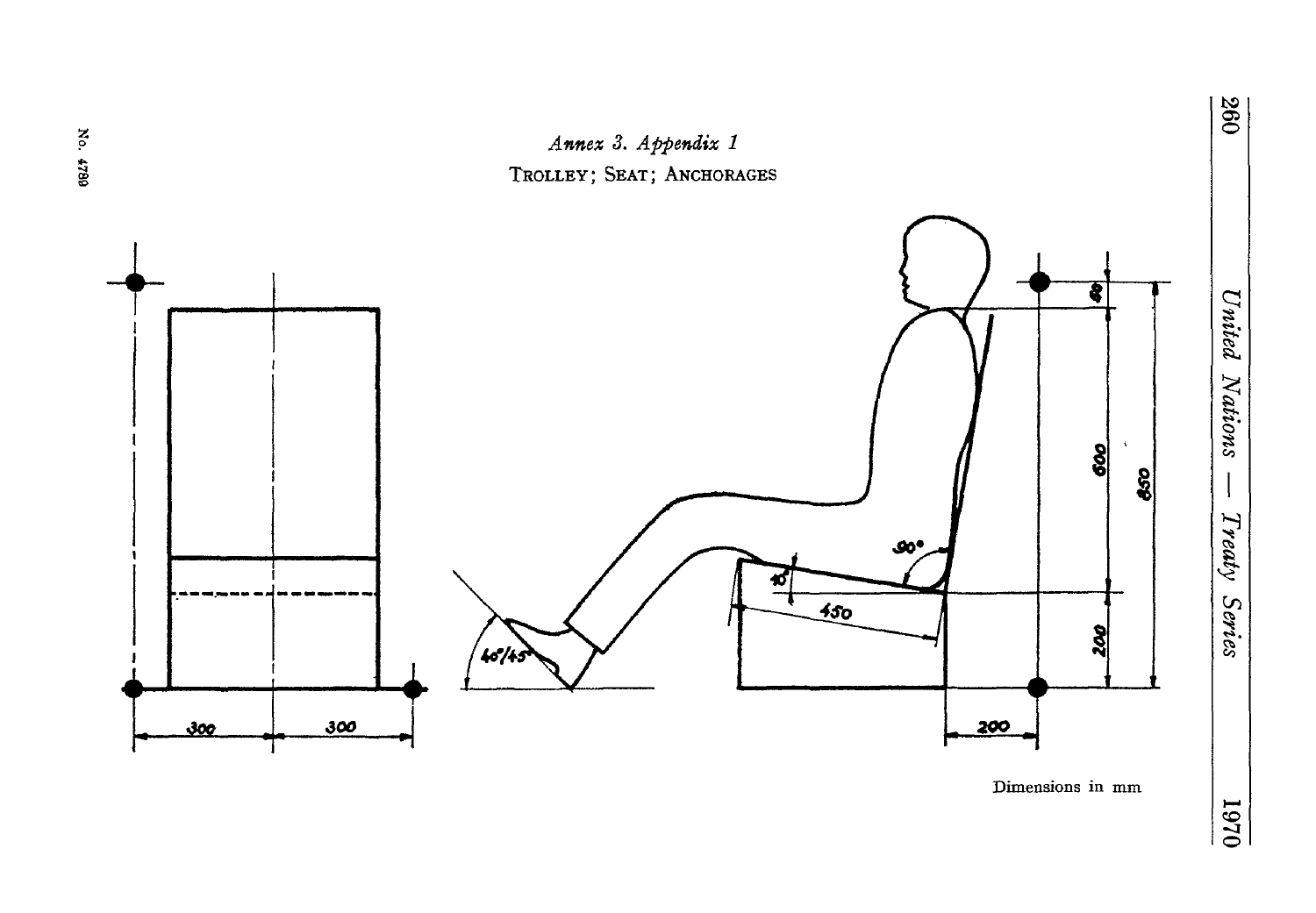

Dimensions in mm

# No. 4789

 $046I$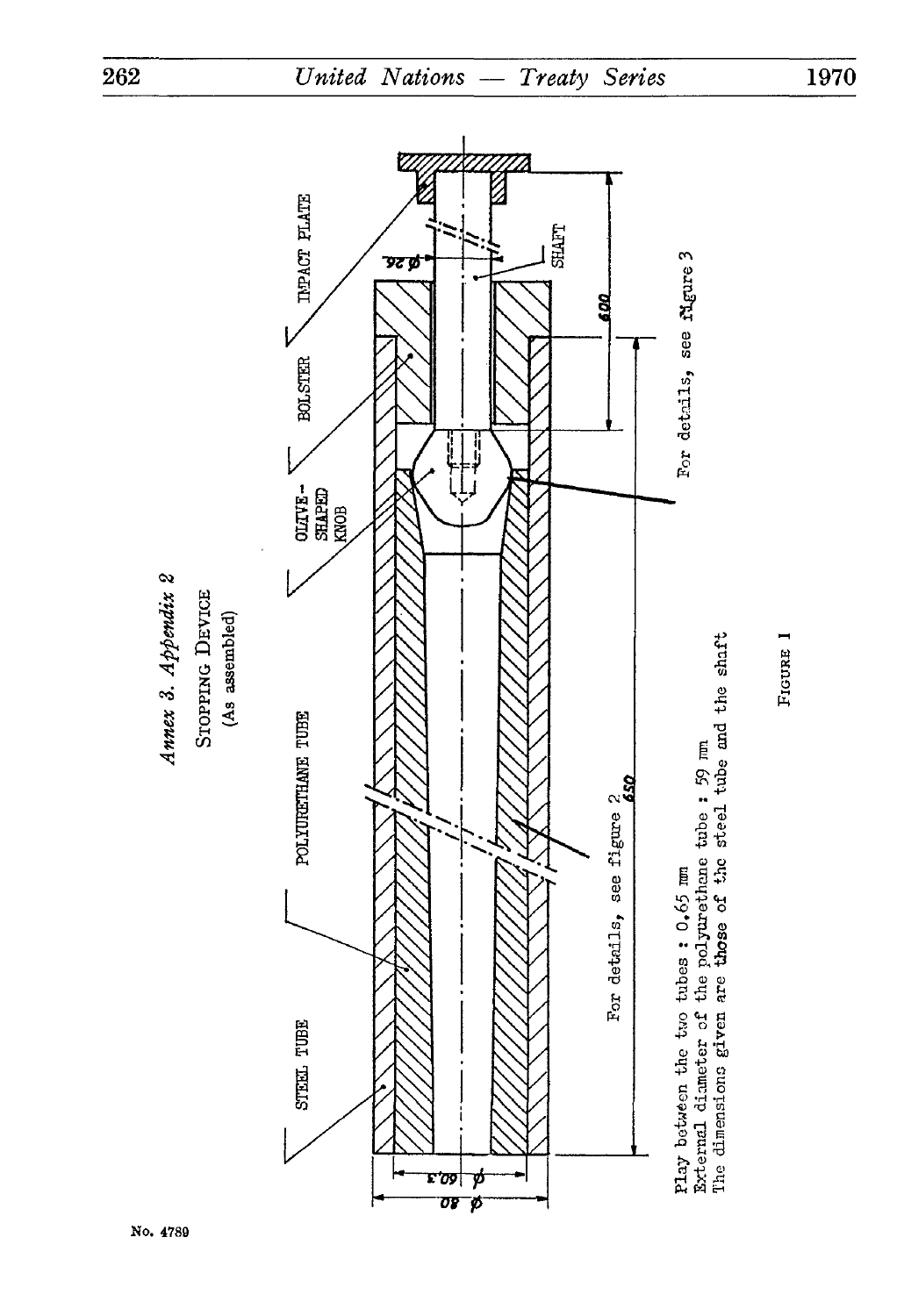

No. 4789

1970

FIGURE I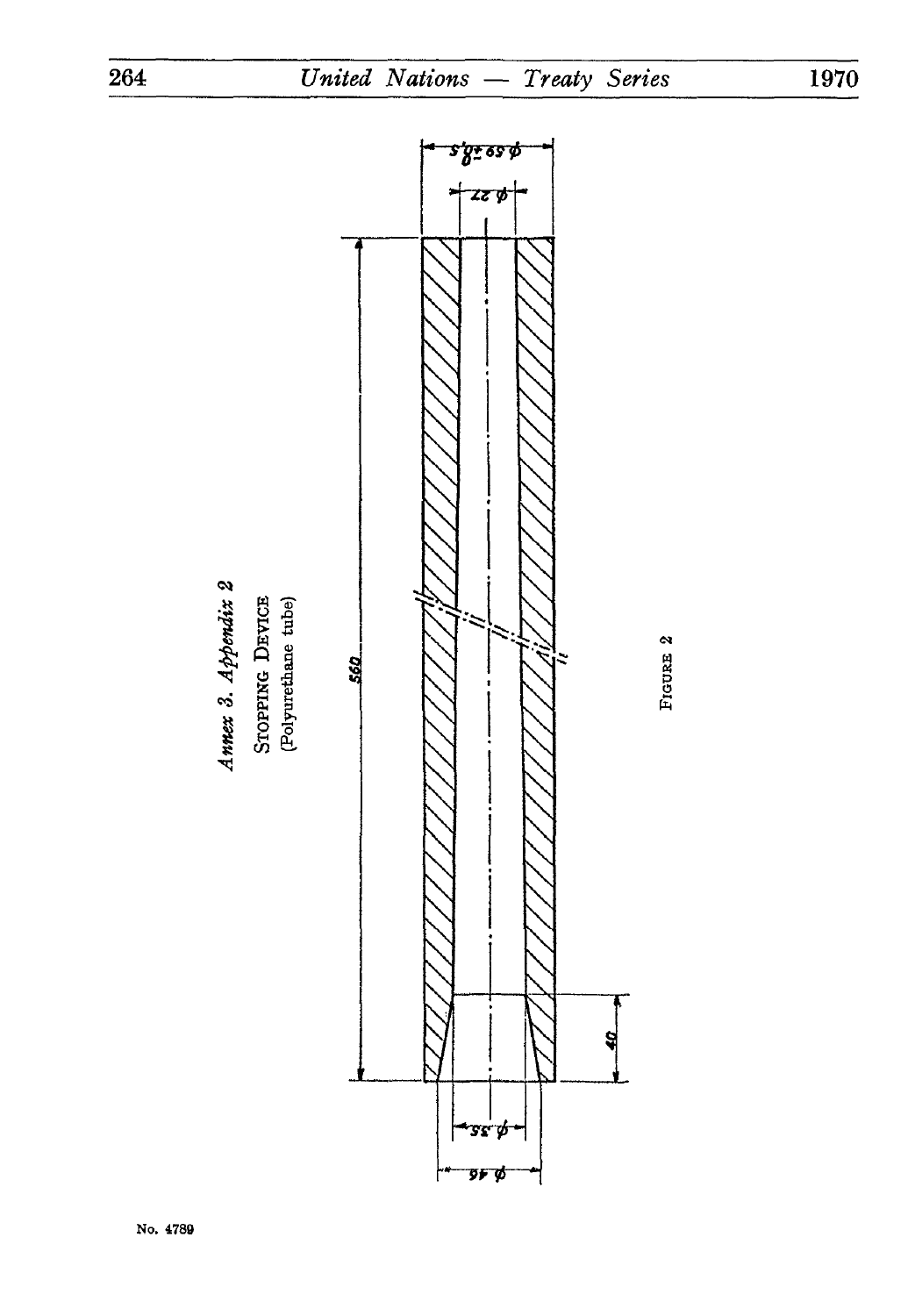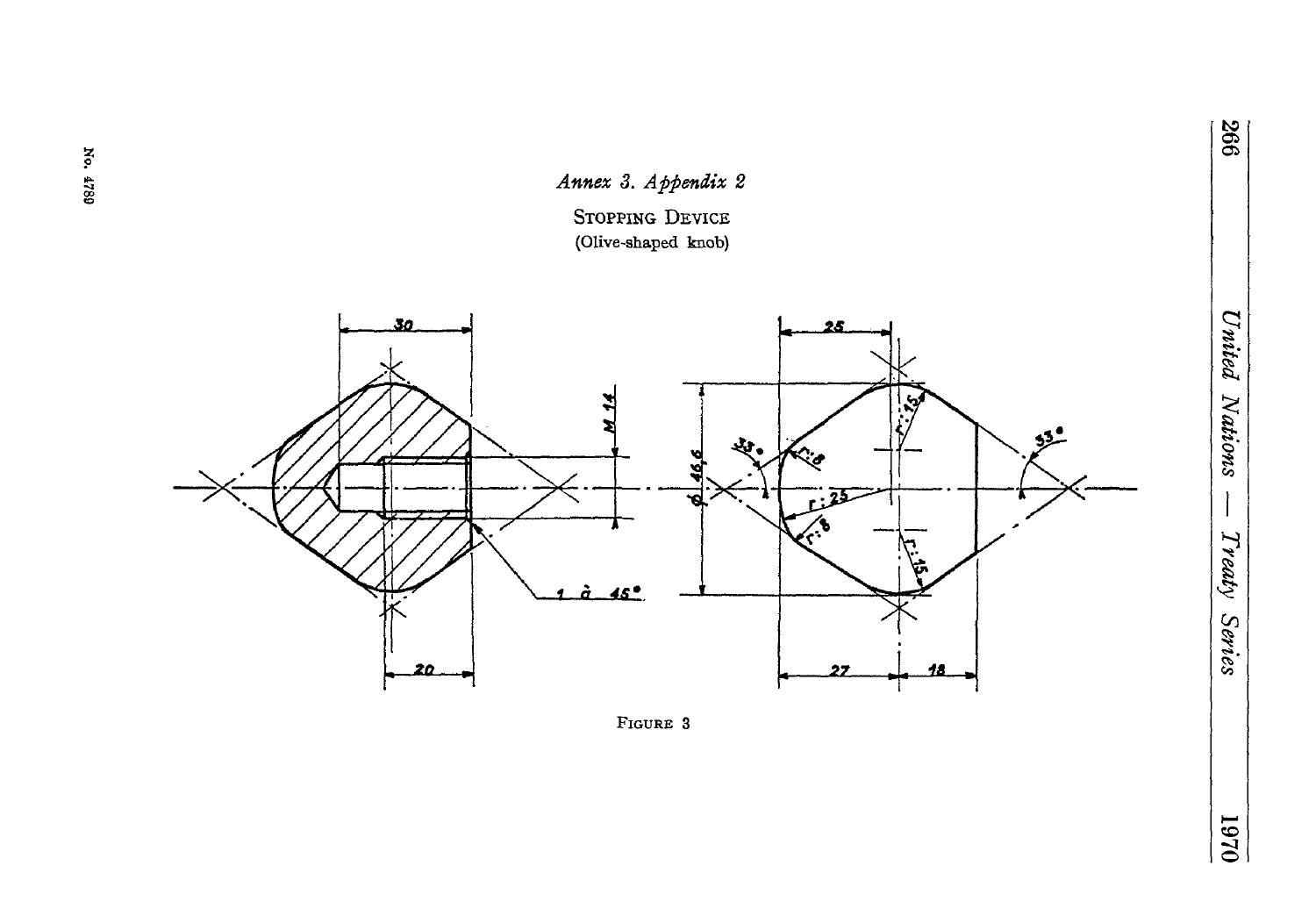

No. 4789



 $0\angle 6I$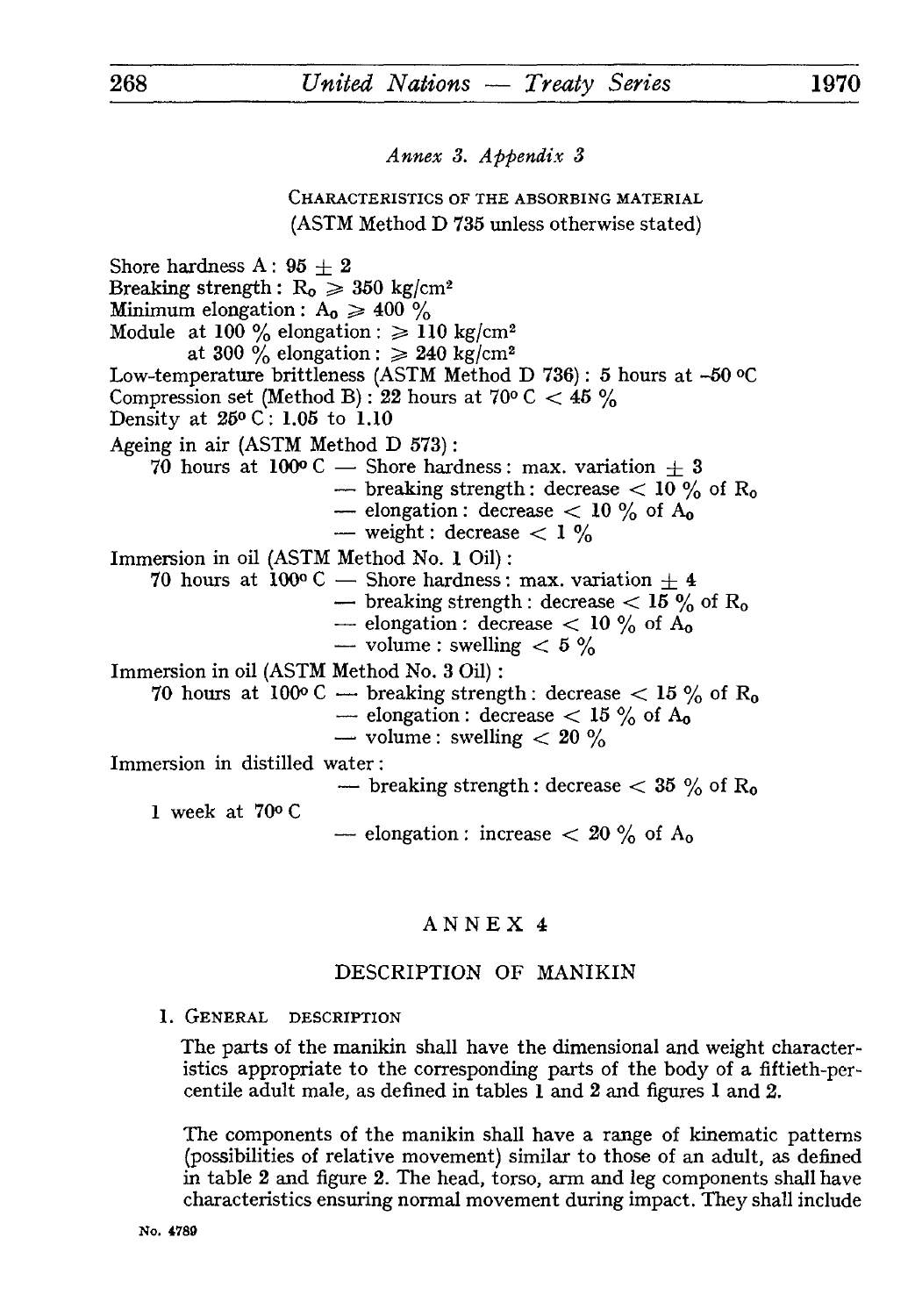*Annex 3. Appendix 3*

CHARACTERISTICS OF THE ABSORBING MATERIAL (ASTM Method D 735 unless otherwise stated)

Shore hardness A :  $95 + 2$ Breaking strength :  $R_0 \ge 350 \text{ kg/cm}^2$ Minimum elongation :  $A_0 \ge 400\%$ Module at 100 % elongation :  $\geq 110 \text{ kg/cm}^2$ at 300 % elongation :  $\geq 240 \text{ kg/cm}^2$ Low-temperature brittleness (ASTM Method D 736) : 5 hours at -50 °C Compression set (Method B) : 22 hours at 70° C  $<$  45°% Density at 25° C : 1.05 to 1.10 Ageing in air (ASTM Method D 573) : 70 hours at 100° C — Shore hardness: max. variation  $\pm$  3 — breaking strength: decrease  $< 10$  % of R<sub>0</sub> — elongation : decrease  $< 10$  % of  $A_0$ — weight : decrease  $\lt 1\%$ Immersion in oil (ASTM Method No. 1 Oil) : 70 hours at 100° C — Shore hardness: max. variation  $\pm 4$ — breaking strength : decrease  $< 15$ % of R<sub>0</sub> — elongation : decrease  $< 10\%$  of  $A_0$ — volume : swelling  $< 5 \%$ Immersion in oil (ASTM Method No. 3 Oil) : 70 hours at 100° C — breaking strength : decrease  $< 15\%$  of R<sub>0</sub> — elongation : decrease  $<$  15 % of A<sub>0</sub> — volume: swelling  $< 20 \%$ Immersion in distilled water: — breaking strength : decrease  $<$  35  $\%$  of R<sub>0</sub> 1 week at 70° C — elongation : increase  $< 20\%$  of  $A_0$ 

## ANNEX 4

## DESCRIPTION OF MANIKIN

1. GENERAL DESCRIPTION

The parts of the manikin shall have the dimensional and weight character istics appropriate to the corresponding parts of the body of a fiftieth-percentile adult male, as defined in tables 1 and 2 and figures 1 and 2.

The components of the manikin shall have a range of kinematic patterns (possibilities of relative movement) similar to those of an adult, as defined in table 2 and figure 2. The head, torso, arm and leg components shall have characteristics ensuring normal movement during impact. They shall include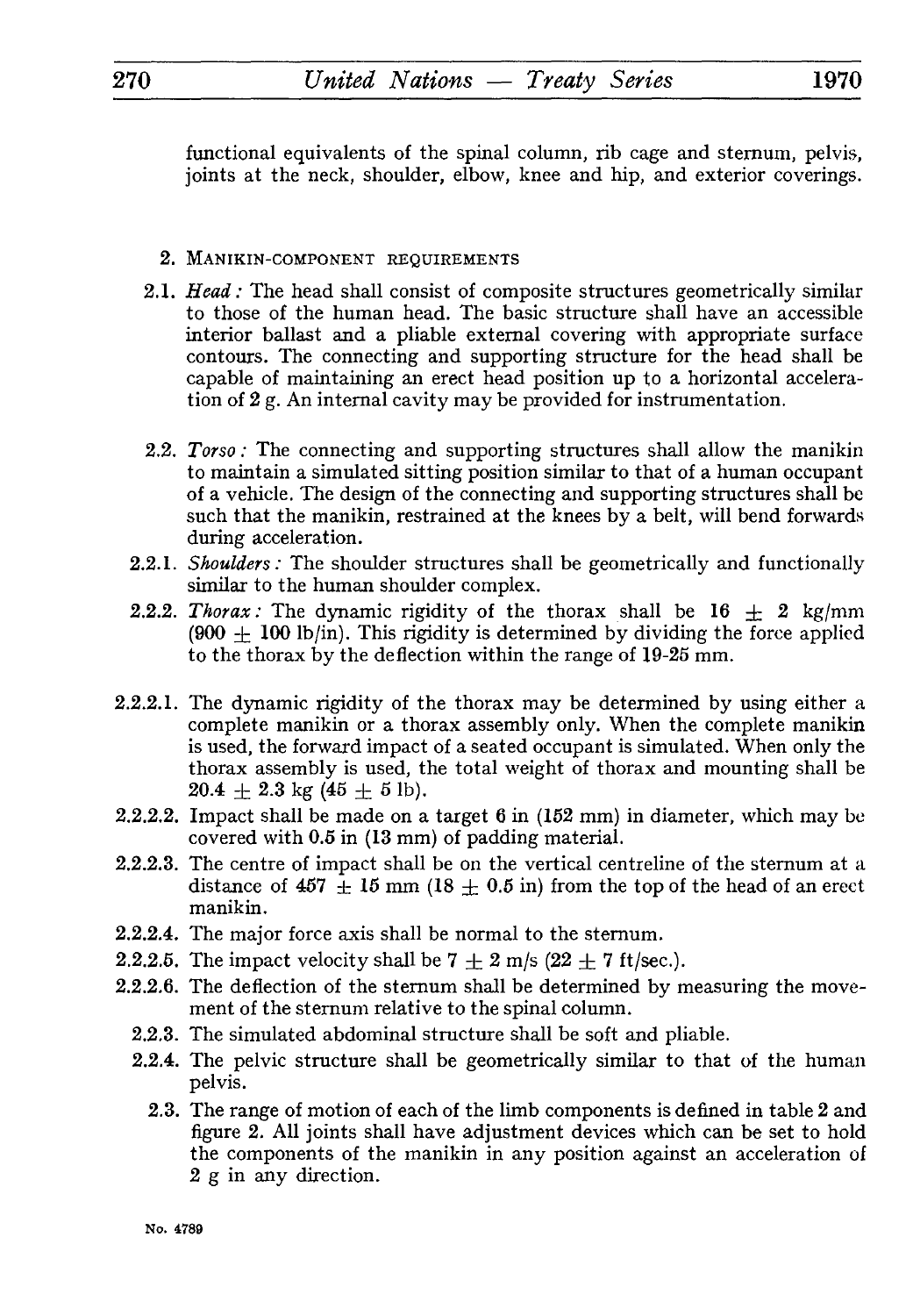functional equivalents of the spinal column, rib cage and sternum, pelvis, joints at the neck, shoulder, elbow, knee and hip, and exterior coverings.

## 2. MANIKIN-COMPONENT REQUIREMENTS

- 2.1. *Head:* The head shall consist of composite structures geometrically similar to those of the human head. The basic structure shall have an accessible interior ballast and a pliable external covering with appropriate surface contours. The connecting and supporting structure for the head shall be capable of maintaining an erect head position up to a horizontal accelera tion of 2 g. An internal cavity may be provided for instrumentation.
- 2.2. *Torso :* The connecting and supporting structures shall allow the manikin to maintain a simulated sitting position similar to that of a human occupant of a vehicle. The design of the connecting and supporting structures shall be such that the manikin, restrained at the knees by a belt, will bend forwards during acceleration.
- 2.2.1. *Shoulders:* The shoulder structures shall be geometrically and functionally similar to the human shoulder complex.
- 2.2.2. *Thorax:* The dynamic rigidity of the thorax shall be  $16 \pm 2$  kg/mm  $(900 \pm 100 \text{ lb/in})$ . This rigidity is determined by dividing the force applied to the thorax by the deflection within the range of 19-25 mm.
- 2.2.2.1. The dynamic rigidity of the thorax may be determined by using either a complete manikin or a thorax assembly only. When the complete manikin is used, the forward impact of a seated occupant is simulated. When only the thorax assembly is used, the total weight of thorax and mounting shall be  $20.4 + 2.3$  kg  $(45 + 5)$  lb).
- 2.2.2.2. Impact shall be made on a target  $6$  in (152 mm) in diameter, which may be covered with 0.5 in (13 mm) of padding material.
- 2.2.2.3. The centre of impact shall be on the vertical centreline of the sternum at a distance of 457  $\pm$  15 mm (18  $\pm$  0.5 in) from the top of the head of an erect manikin.
- 2.2.2.4. The major force axis shall be normal to the sternum.
- 2.2.2.5. The impact velocity shall be  $7 \pm 2$  m/s (22  $\pm$  7 ft/sec.).
- 2.2.2.6. The deflection of the sternum shall be determined by measuring the move ment of the sternum relative to the spinal column.
	- 2.2.3. The simulated abdominal structure shall be soft and pliable.
	- 2.2.4. The pelvic structure shall be geometrically similar to that of the human pelvis.
		- 2.3. The range of motion of each of the limb components is defined in table 2 and figure 2. All joints shall have adjustment devices which can be set to hold the components of the manikin in any position against an acceleration of 2 g in any direction.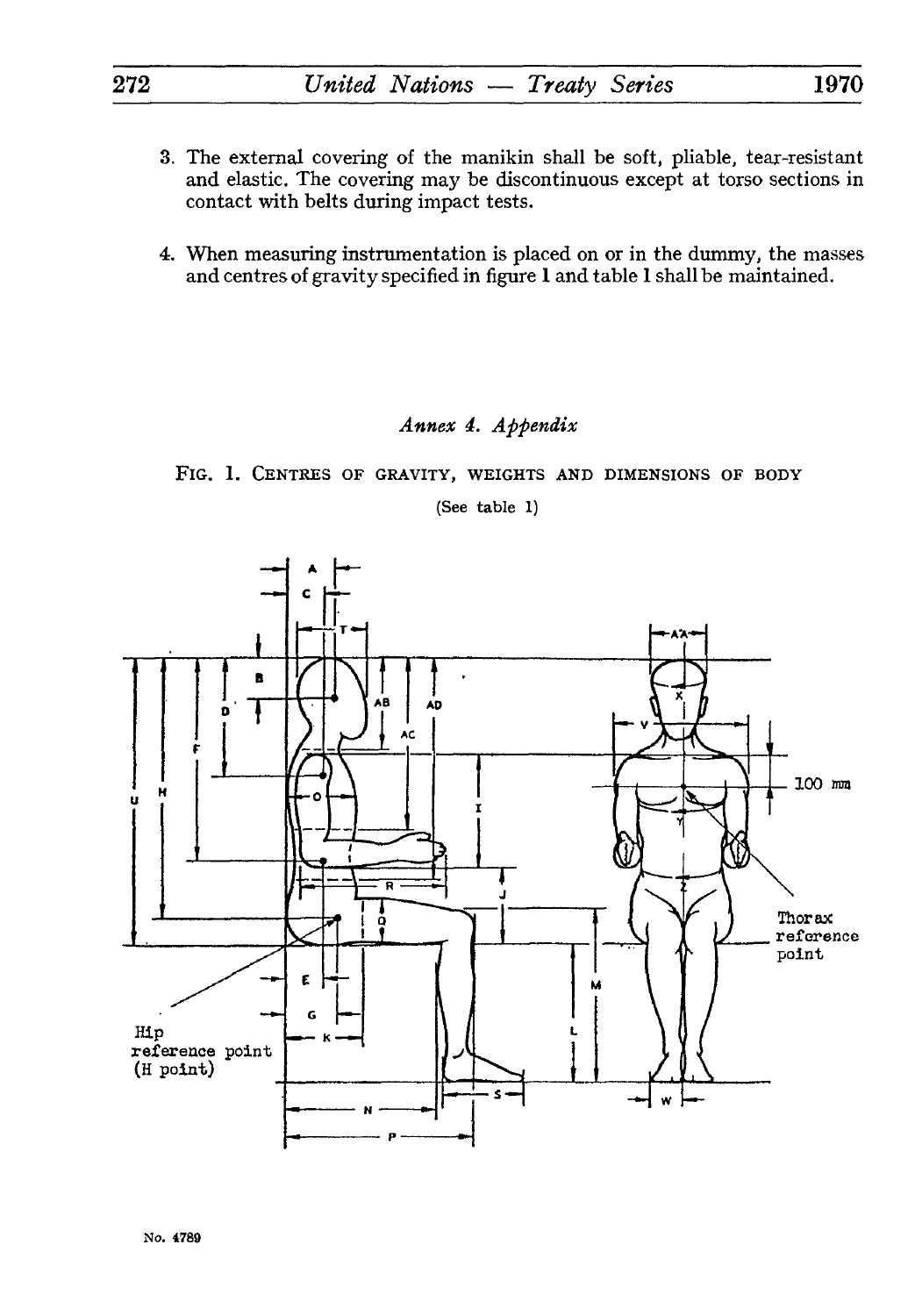- 3. The external covering of the manikin shall be soft, pliable, tear-resistant and elastic. The covering may be discontinuous except at torso sections in contact with belts during impact tests.
- 4. When measuring instrumentation is placed on or in the dummy, the masses and centres of gravity specified in figure 1 and table 1 shall be maintained.

## *Annex 4, Appendix*

FIG. 1. CENTRES OF GRAVITY, WEIGHTS AND DIMENSIONS OF BODY

(See table 1)



**No. 4789**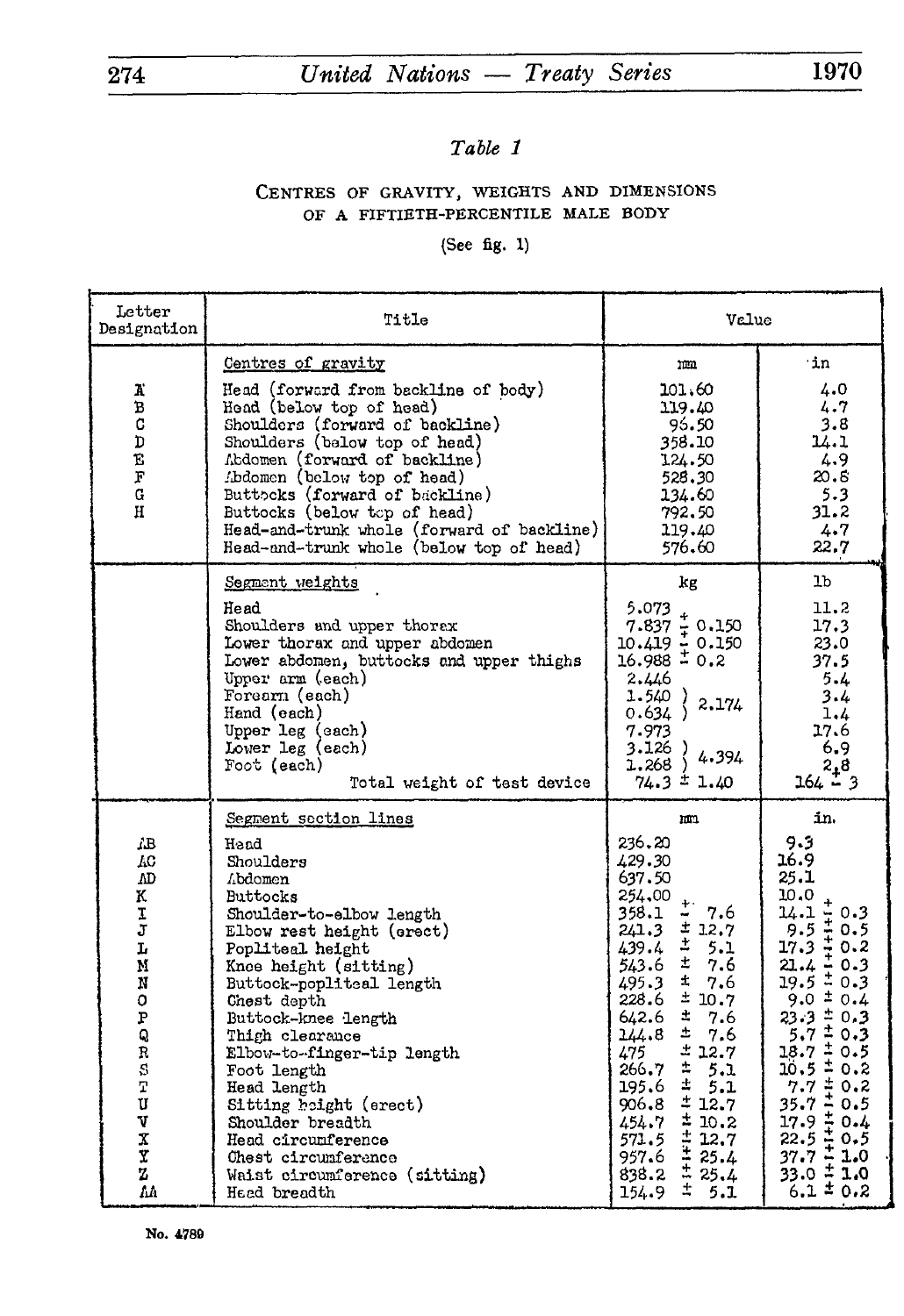# 274 *United Nations — Treaty Series* 1970

# *Table 1*

## CENTRES OF GRAVITY, WEIGHTS AND DIMENSIONS OF A FIFTIETH-PERCENTILE MALE BODY

## (See fig. 1)

| Letter<br>Designation                                                                                                    | Title                                                                                                                                                                                                                                                                                                                                                                                                                                                                       | Value                                                                                                                                                                                                                                                                                                                                                                                                                                |                                                                                                                                                                                                                                                                                                                                                                                   |  |
|--------------------------------------------------------------------------------------------------------------------------|-----------------------------------------------------------------------------------------------------------------------------------------------------------------------------------------------------------------------------------------------------------------------------------------------------------------------------------------------------------------------------------------------------------------------------------------------------------------------------|--------------------------------------------------------------------------------------------------------------------------------------------------------------------------------------------------------------------------------------------------------------------------------------------------------------------------------------------------------------------------------------------------------------------------------------|-----------------------------------------------------------------------------------------------------------------------------------------------------------------------------------------------------------------------------------------------------------------------------------------------------------------------------------------------------------------------------------|--|
| к<br>в<br>C<br>D<br>Ë.<br>F<br>G<br>н                                                                                    | Centres of gravity<br>Head (forward from backline of body)<br>Head (below top of head)<br>Shoulders (forward of backline)<br>Shoulders (below top of head)<br>Abdomen (forward of backline)<br>Abdomen (below top of head)<br>Buttocks (forward of backline)<br>Buttocks (below top of head)<br>Head-and-trunk whole (forward of backline)<br>Head-and-trunk whole (below top of head)                                                                                      | m<br>101.60<br>119.40<br>96.50<br>358.10<br>124.50<br>528.30<br>134.60<br>792.50<br>119.40<br>576.60                                                                                                                                                                                                                                                                                                                                 | ∙in.<br>4.0<br>4.7<br>3.8<br>14.1<br>4.9<br>20.8<br>5.3<br>31.2<br>4.7<br>22.7                                                                                                                                                                                                                                                                                                    |  |
|                                                                                                                          | Segment weights<br>Head<br>Shoulders and upper thorax<br>Lower thorax and upper abdomen<br>Lower abdomen, buttocks and upper thighs<br>Upper arm (each)<br>Forearn (each)<br>Hand (each)<br>Upper leg (each)<br>Lower leg (each)<br>Foot (each)<br>Total weight of test device                                                                                                                                                                                              | kg<br>5.073<br>$7.837 \div 0.150$<br>$10.419 \frac{1}{4} 0.150$<br>$16.988 \frac{1}{4} 0.2$<br>2.446<br>1.540)<br>2.174<br>0.634)<br>7.973<br>3.126)<br>4.394<br>1.268<br>$74.3 \pm 1.40$                                                                                                                                                                                                                                            | 1b.<br>11.2<br>17.3<br>23.0<br>37.5<br>5.4<br>3.4<br>1.4<br>17.6<br>6.9<br>2,8<br>$164 - 3$                                                                                                                                                                                                                                                                                       |  |
| AВ<br>ÆС<br>ΛD<br>Κ.<br>I<br>2<br>L<br>M<br>N<br>0<br>P<br>q<br>Ŕ<br>$\overline{s}$<br>'n<br>U<br>V<br>X<br>Y<br>Z<br>ΛA | Segment section lines<br>Hand<br>Shoulders<br>Abdomen<br><b>Buttocks</b><br>Shoulder-to-elbow length<br>Elbow rest height (erect)<br>Popliteal height<br>Knee height (sitting)<br>Buttock-popliteal length<br>Chest depth<br>Buttock-knee length<br>Thigh clearance<br>Elbow-to-finger-tip length<br>Foot length<br>Head length<br>Sitting height (erect)<br>Shoulder breadth<br>Head circumference<br>Chest circumference<br>Waist circumference (sitting)<br>Hand breadth | m<br>236,20<br>429.30<br>637.50<br>254,00<br>7.6<br>358.1<br>±12.7<br>241.3<br>$\ddot{\Xi}$<br>439.4<br>5.1<br>士<br>543.6<br>7.6<br>±.<br>7.6<br>495.3<br>±10.7<br>228.6<br>±<br>642.6<br>7.6<br>土<br>14.8<br>7.6<br>± 12.7<br>475<br>÷<br>266.7<br>5.1<br>士<br>195.6<br>5.1<br>±12.7<br>906.8<br>±10.2<br>454.7<br>$72.7$<br>$72.7$<br>$72.7$<br>$72.7$<br>$72.7$<br>$72.7$<br>$72.7$<br>$72.7$<br>571.5<br>957.6<br>838.2<br>154.9 | in.<br>9.5<br>16.9<br>25.1<br>10.0<br>$14.1 + 0.3$<br>9.5 $+ 0.5$<br>17.3 $+ 0.2$<br>31 / $+ 0.3$<br>21.4 – 0.3<br>$19.5 \pm 0.3$<br>$9.0 \pm 0.4$<br>$23.3 \pm 0.3$<br>$5.7 \pm 0.3$<br>$18.7 \pm 0.5$<br>$20.5 \pm 0.2$<br>$7.7 \pm 0.2$<br>35.7 $\pm 0.5$<br>$\begin{array}{l} 27.7 \\ 17.9 \\ 22.5 \\ 42.5 \\ 37.7 \\ \pm 1.0 \end{array}$<br>$33.0 \pm 1.0$<br>$6.1 \pm 0.2$ |  |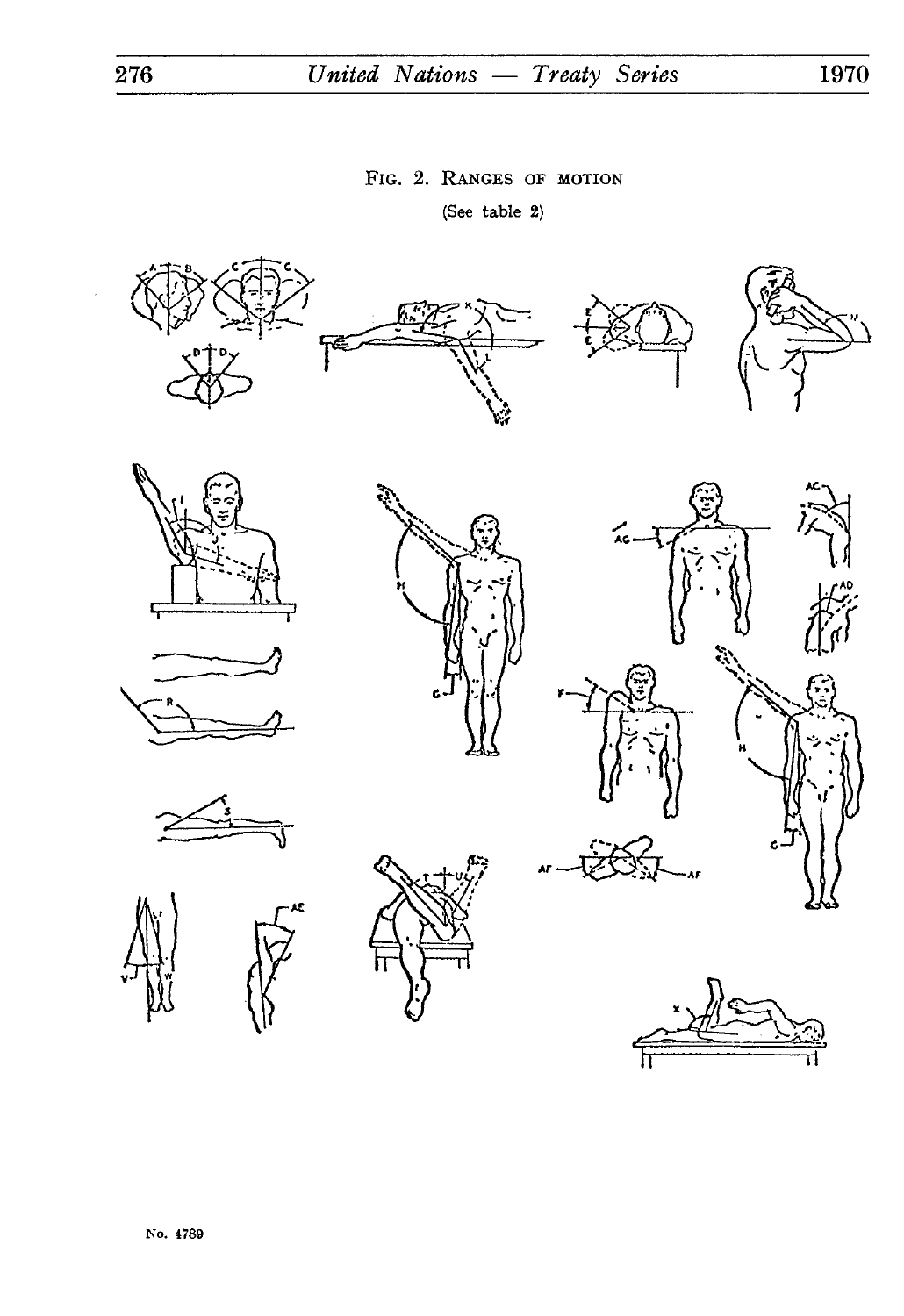# 276 *United Nations — Treaty Series* **1970**

## FIG. 2. RANGES OF MOTION

(See table 2)















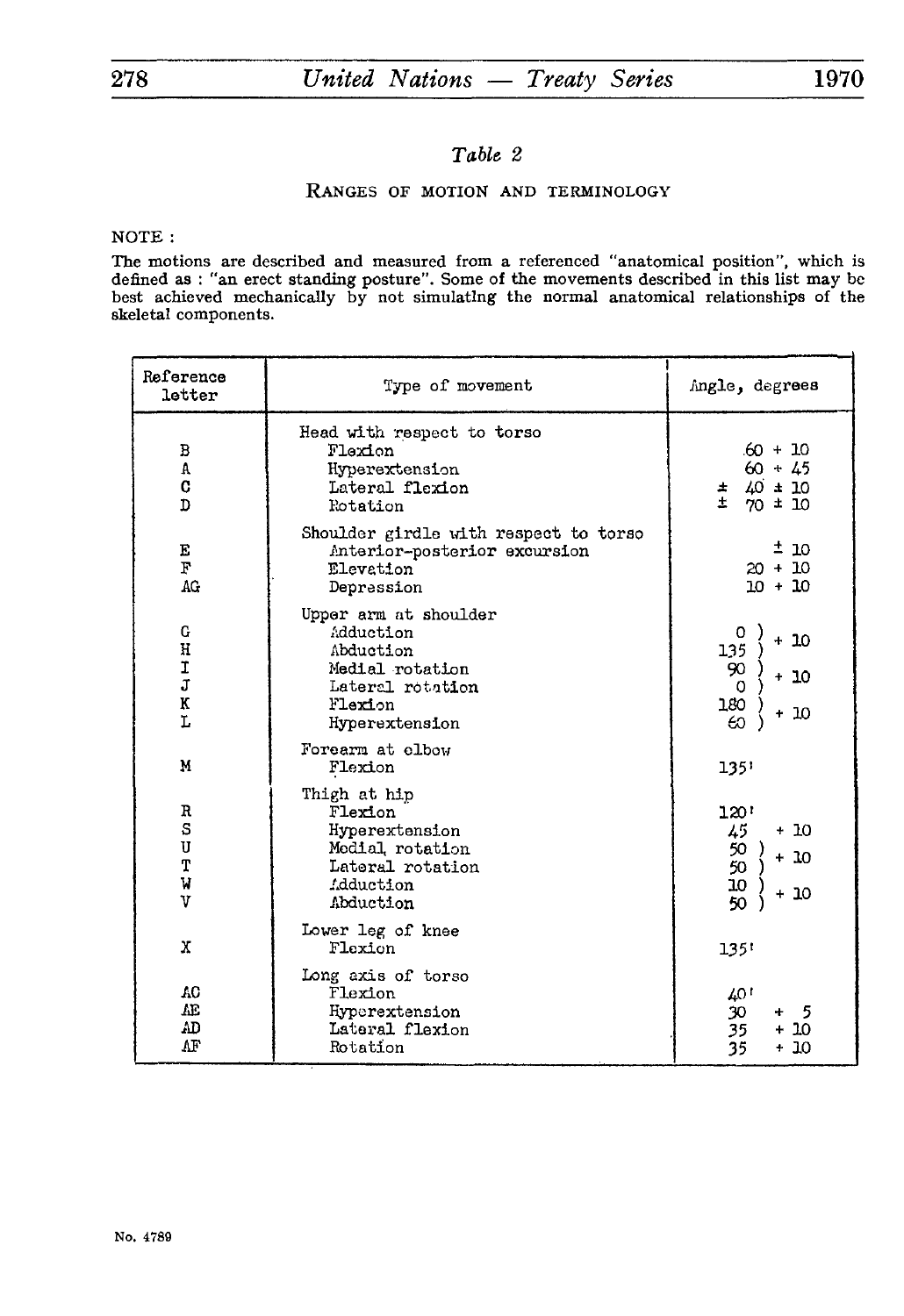## *Table 2*

## RANGES OF MOTION AND TERMINOLOGY

**NOTE :**

**The motions are described and measured from a referenced "anatomical position", which is**  defined as : "an erect standing posture". Some of the movements described in this list may be **best achieved mechanically by not simulating the normal anatomical relationships of the skeletal components.**

| Reference<br>letter         | Type of movement                                                                                                    | Angle, degrees                                                      |
|-----------------------------|---------------------------------------------------------------------------------------------------------------------|---------------------------------------------------------------------|
| В<br>A<br>C<br>D            | Head with respect to torso<br>Flaxion<br>Hyperextension<br>Lateral flexion<br>Rotation                              | $60 + 10$<br>$60 + 45$<br>$\pm$ 40 $\pm$ 10<br>$\pm$<br>$70 \pm 10$ |
| E<br>F<br>AG                | Shoulder girdle with respect to torso<br>Anterior-posterior excursion<br>Elevation<br>Depression                    | ± 10<br>$20 + 10$<br>$10 + 10$                                      |
| G<br>H<br>I<br>J<br>K<br>Ĩ, | Upper arm at shoulder<br>Adduction<br>Abduction<br>Medial rotation<br>Lateral rotation<br>Flexion<br>Hyperextension | $+10$<br>135<br>90<br>$+10$<br>$\Omega$<br>180<br>$+10$<br>60       |
| M                           | Forearm at elbow<br>Flexion                                                                                         | 135'                                                                |
| R<br>S<br>U<br>T<br>W<br>v  | Thigh at hip<br>Flexion<br>Hyperextension<br>Medial rotation<br>Lateral rotation<br>.dduction<br>Abduction          | 120'<br>45<br>$+10$<br>50<br>50<br>$+10$<br>10<br>50<br>10<br>÷     |
| X                           | Lower leg of knee<br>Floxion                                                                                        | 135'                                                                |
| AC<br>Æ<br>AD<br>ΛF         | Long axis of torso<br>Flexion<br>Hyperextension<br>Lateral flexion<br>Rotation                                      | 40 !<br>30<br>5<br>÷<br>35<br>+ 10<br>$+10$<br>35                   |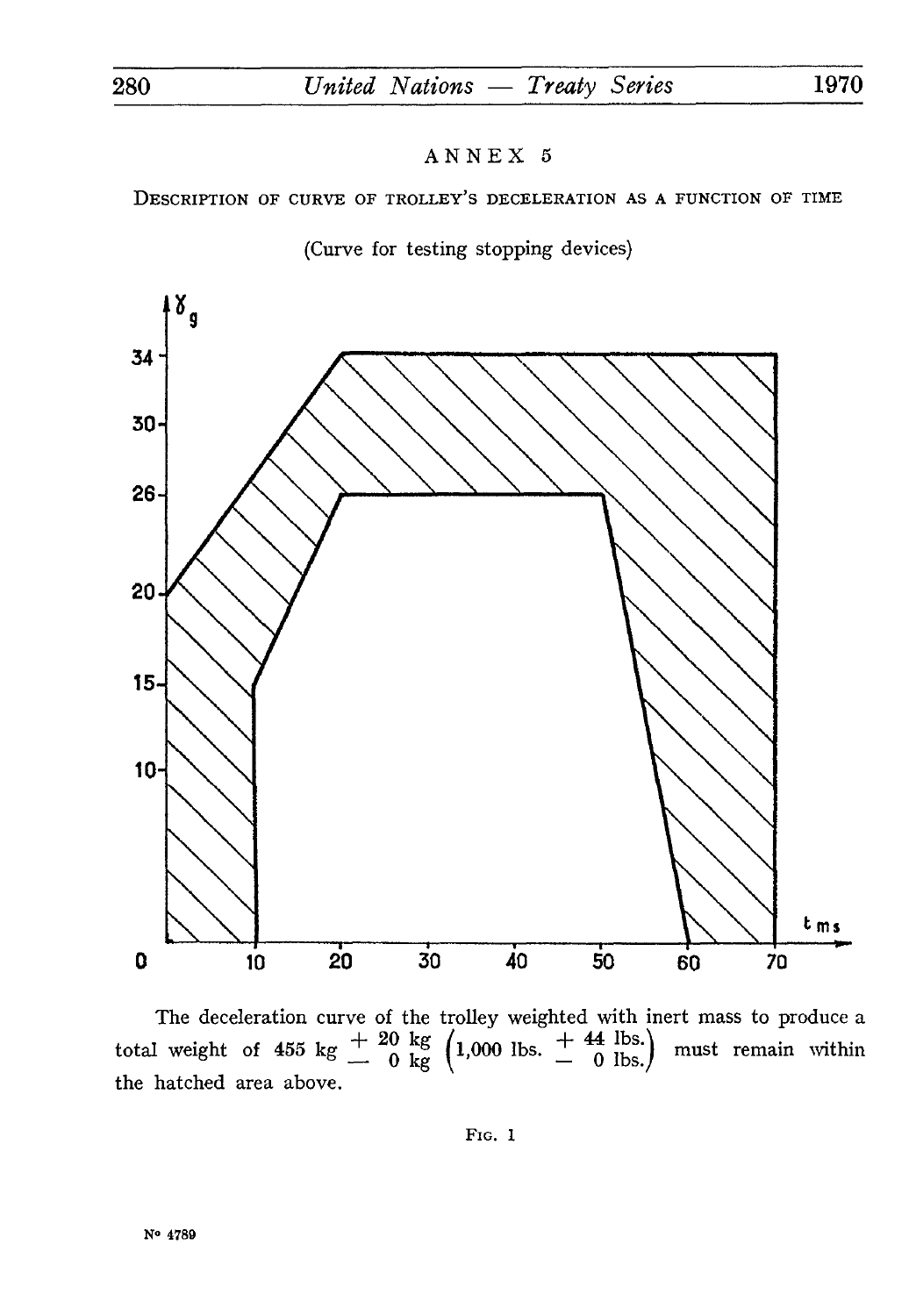DESCRIPTION OF CURVE OF TROLLEY'S DECELERATION AS A FUNCTION OF TIME





The deceleration curve of the trolley weighted with inert mass to produce a total weight of 455 kg  $\frac{+}{0}$   $\frac{20 \text{ kg}}{\text{kg}}$   $\left(1,000 \text{ lbs.} + \frac{44 \text{ lbs.}}{0 \text{ lbs.}}\right)$  must remain within the hatched area above.

FIG. i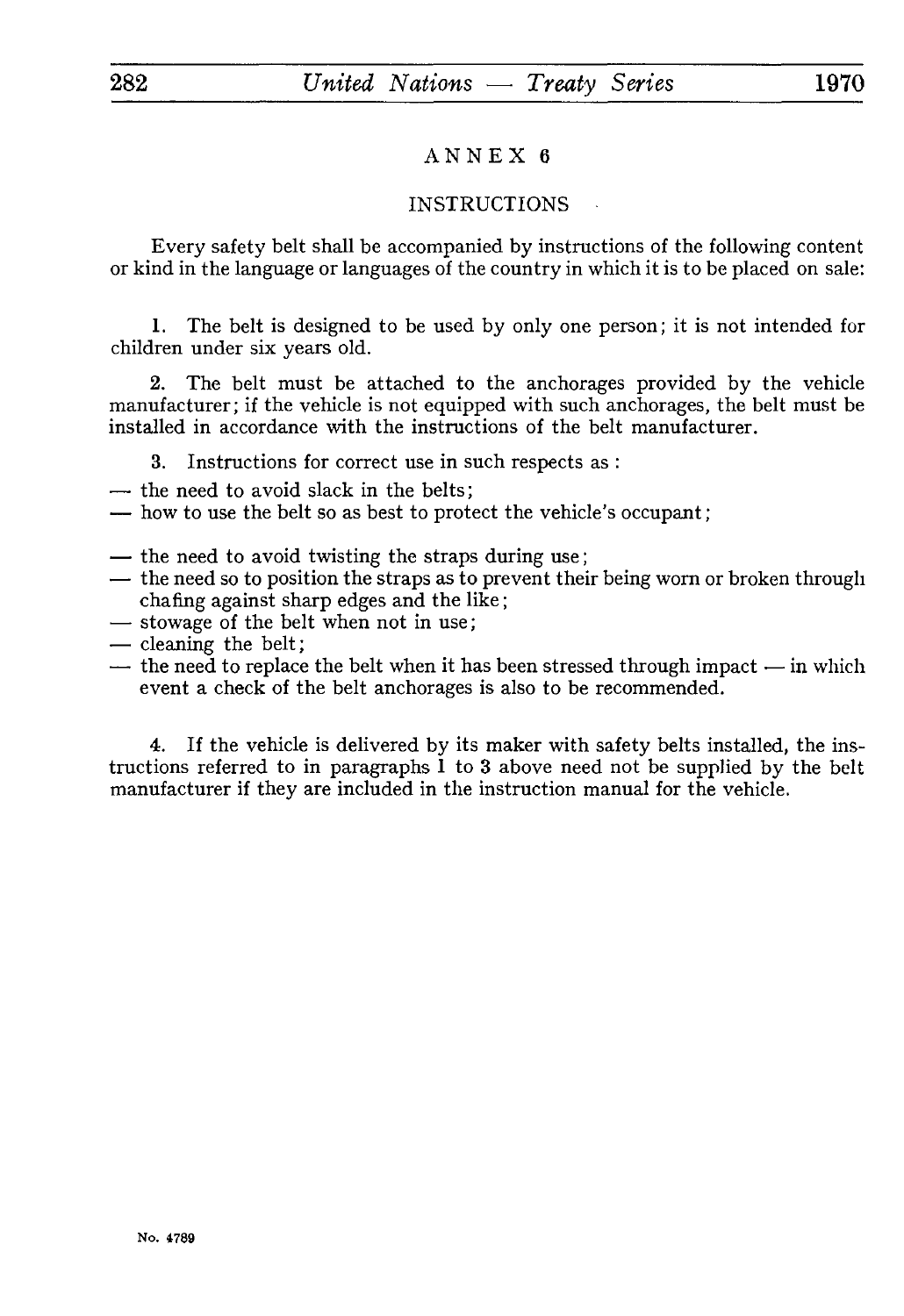## INSTRUCTIONS

Every safety belt shall be accompanied by instructions of the following content or kind in the language or languages of the country in which it is to be placed on sale:

1. The belt is designed to be used by only one person; it is not intended for children under six years old.

2. The belt must be attached to the anchorages provided by the vehicle manufacturer; if the vehicle is not equipped with such anchorages, the belt must be installed in accordance with the instructions of the belt manufacturer.

3. Instructions for correct use in such respects as :

— the need to avoid slack in the belts;

— how to use the belt so as best to protect the vehicle's occupant ;

- 
- the need to avoid twisting the straps during use;<br>— the need so to position the straps as to prevent their being worn or broken through chafing against sharp edges and the like;<br>
— stowage of the belt when not in use;<br>
— cleaning the belt;
- 
- 
- the need to replace the belt when it has been stressed through impact in which event a check of the belt anchorages is also to be recommended.

4. If the vehicle is delivered by its maker with safety belts installed, the ins tructions referred to in paragraphs 1 to 3 above need not be supplied by the belt manufacturer if they are included in the instruction manual for the vehicle.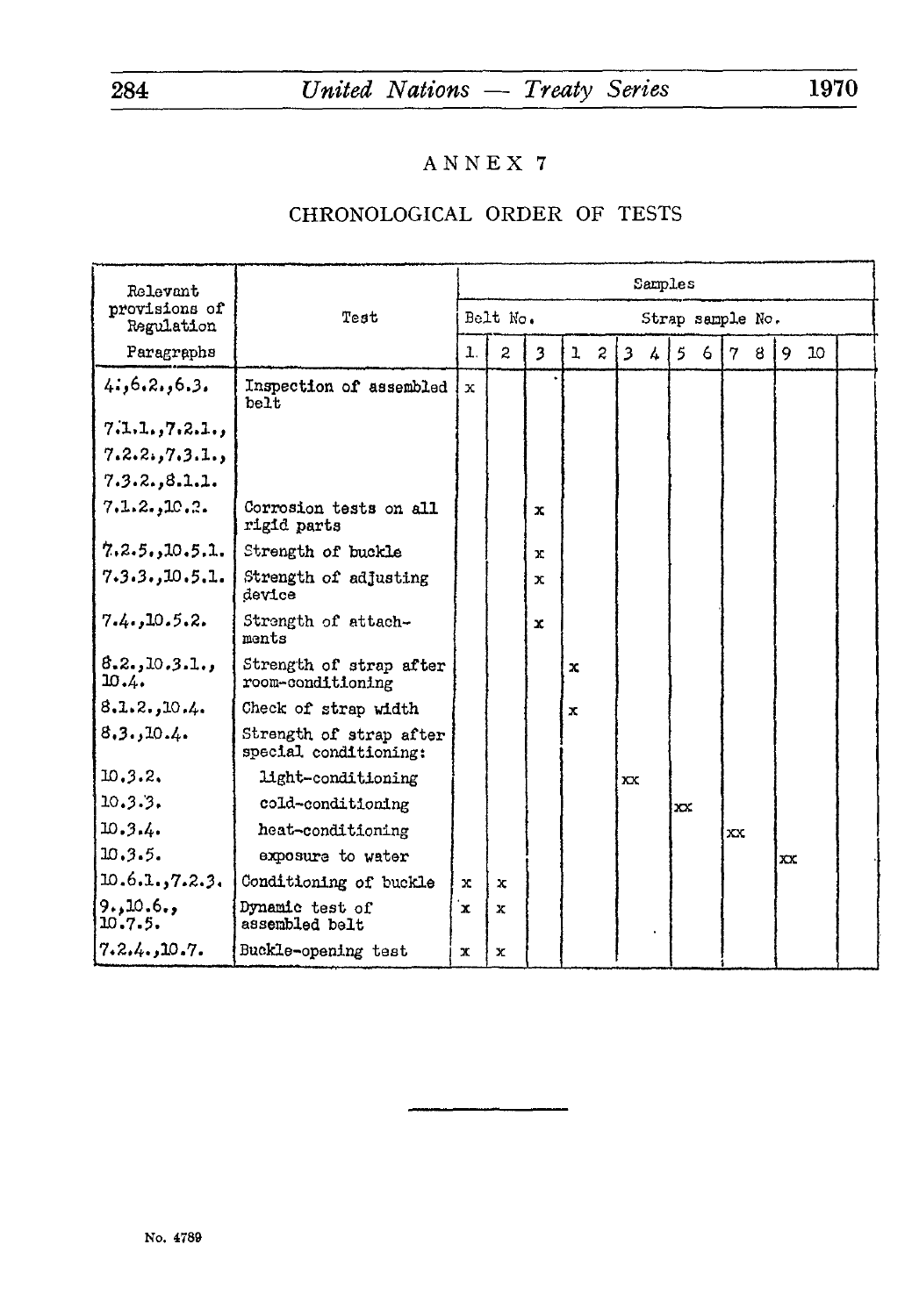# CHRONOLOGICAL ORDER OF TESTS

| Relevant                    |                                                  | Samples                      |                |   |                              |           |               |    |   |    |   |              |    |  |
|-----------------------------|--------------------------------------------------|------------------------------|----------------|---|------------------------------|-----------|---------------|----|---|----|---|--------------|----|--|
| provisions of<br>Regulation | Test                                             | Belt No.<br>Strap sample No. |                |   |                              |           |               |    |   |    |   |              |    |  |
| Paragraphs                  |                                                  | 1.                           | $\overline{c}$ | 3 | $\mathbf{L}$<br>$\mathbf{2}$ | $\vert$ 3 | $\mathcal{L}$ | 5  | 6 | 7  | 8 | 9            | 10 |  |
| 4:6.2.6.3.                  | Inspection of assembled<br>belt                  | $\mathbf x$                  |                |   |                              |           |               |    |   |    |   |              |    |  |
| 7.1.1.7.2.1.                |                                                  |                              |                |   |                              |           |               |    |   |    |   |              |    |  |
| 7.2.2.7.3.1.                |                                                  |                              |                |   |                              |           |               |    |   |    |   |              |    |  |
| 7.3.2.3.1.1.                |                                                  |                              |                |   |                              |           |               |    |   |    |   |              |    |  |
| 7.1.2.10.2.                 | Corrosion tests on all<br>rigid parts            |                              |                | x |                              |           |               |    |   |    |   |              |    |  |
| 7.2.5.10.5.1.               | Strength of buckle                               |                              |                | x |                              |           |               |    |   |    |   |              |    |  |
| 7.3.3.10.5.1.               | Strength of adjusting<br>device                  |                              |                | x |                              |           |               |    |   |    |   |              |    |  |
| 7.4.10.5.2.                 | Strength of attach-<br>ments                     |                              |                | x |                              |           |               |    |   |    |   |              |    |  |
| 8.2.10.3.1.<br>10.4.        | Strength of strap after<br>room-conditioning     |                              |                |   | $\mathbf x$                  |           |               |    |   |    |   |              |    |  |
| 8.1.2.10.4.                 | Check of strap width                             |                              |                |   | $\mathbf x$                  |           |               |    |   |    |   |              |    |  |
| 8.3.10.4.                   | Strength of strap after<br>special conditioning: |                              |                |   |                              |           |               |    |   |    |   |              |    |  |
| 10.3.2.                     | light-conditioning                               |                              |                |   |                              | $\infty$  |               |    |   |    |   |              |    |  |
| 10.3.3.                     | cold-conditioning                                |                              |                |   |                              |           |               | xx |   |    |   |              |    |  |
| 10.3.4.                     | heat-conditioning                                |                              |                |   |                              |           |               |    |   | xx |   |              |    |  |
| 10.3.5.                     | exposure to water                                |                              |                |   |                              |           |               |    |   |    |   | $\mathbf{x}$ |    |  |
| 10.6.1.7.2.3.               | Conditioning of buckle                           | x                            | x              |   |                              |           |               |    |   |    |   |              |    |  |
| 9.10.6.<br>10.7.5.          | Dynamic test of<br>assembled belt                | ʻx                           | x              |   |                              |           |               |    |   |    |   |              |    |  |
| 7.2.4.10.7.                 | Buckle-opening test                              | x                            | x              |   |                              |           |               |    |   |    |   |              |    |  |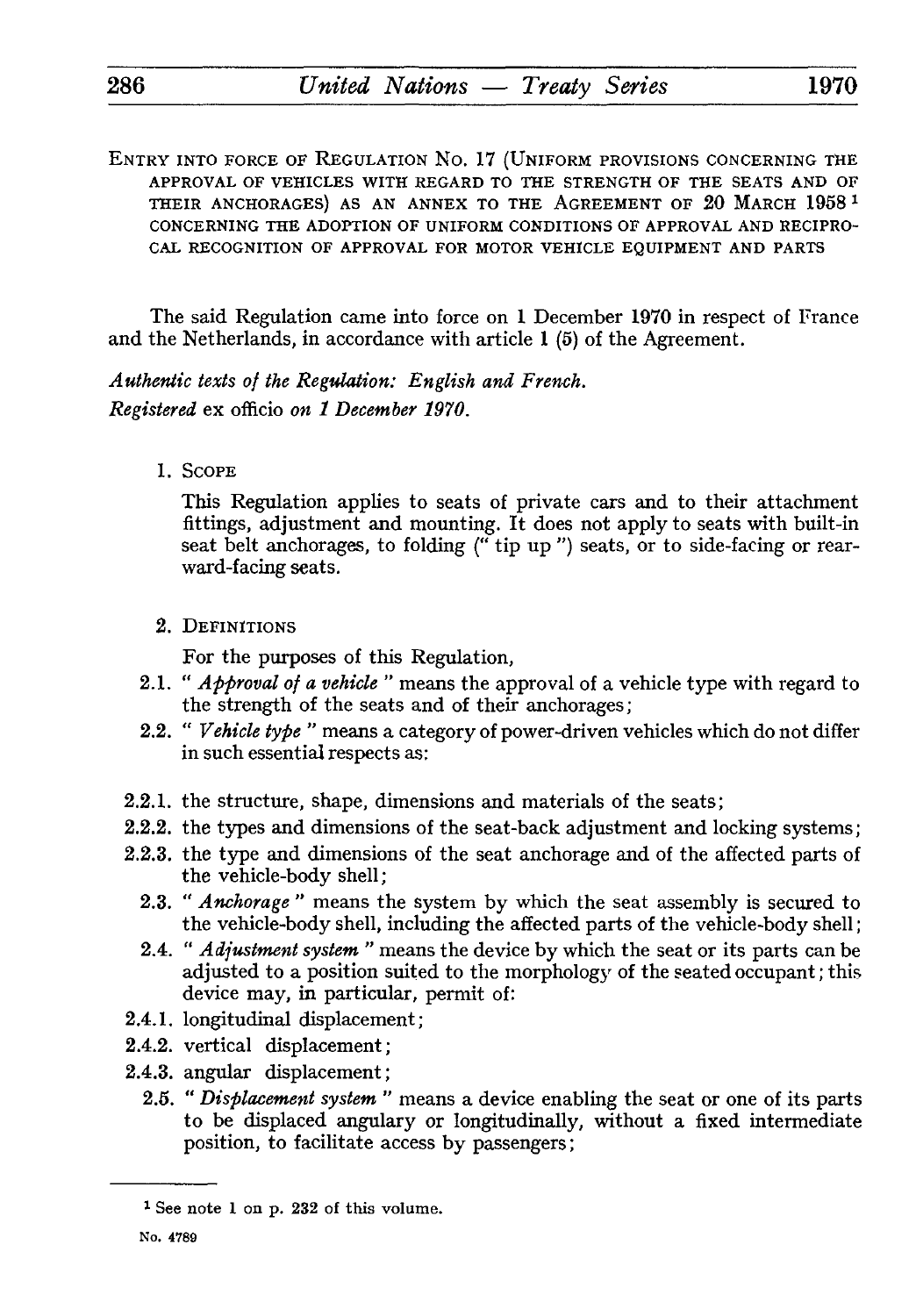ENTRY INTO FORCE OF REGULATION No. 17 (UNIFORM PROVISIONS CONCERNING THE APPROVAL OF VEHICLES WITH REGARD TO THE STRENGTH OF THE SEATS AND OF THEIR ANCHORAGES) AS AN ANNEX TO THE AGREEMENT OF 20 MARCH 1958 *<sup>1</sup>* CONCERNING THE ADOPTION OF UNIFORM CONDITIONS OF APPROVAL AND RECIPRO CAL RECOGNITION OF APPROVAL FOR MOTOR VEHICLE EQUIPMENT AND PARTS

The said Regulation came into force on 1 December 1970 in respect of France and the Netherlands, in accordance with article 1 (5) of the Agreement.

*Authentic texts of the Regulation: English and French. Registered* ex officio *on 1 December 1970.*

1. SCOPE

This Regulation applies to seats of private cars and to their attachment fittings, adjustment and mounting. It does not apply to seats with built-in seat belt anchorages, to folding (" tip up ") seats, or to side-facing or rear ward-facing seats.

2. DEFINITIONS

For the purposes of this Regulation,

- 2.1. " *Approval of a vehicle "* means the approval of a vehicle type with regard to the strength of the seats and of their anchorages;
- 2.2. " *Vehicle type "* means a category of power-driven vehicles which do not differ in such essential respects as:
- 2.2.1. the structure, shape, dimensions and materials of the seats;
- 2.2.2. the types and dimensions of the seat-back adjustment and locking systems;
- 2.2.3. the type and dimensions of the seat anchorage and of the affected parts of the vehicle-body shell;
	- 2.3. " *Anchorage "* means the system by which the seat assembly is secured to the vehicle-body shell, including the affected parts of the vehicle-body shell ;
	- 2.4. " *Adjustment system "* means the device by which the seat or its parts can be adjusted to a position suited to the morphology of the seated occupant ; this device may, in particular, permit of:
- 2.4.1. longitudinal displacement;
- 2.4.2. vertical displacement;
- 2.4.3. angular displacement;
	- 2.5. " *Displacement system "* means a device enabling the seat or one of its parts to be displaced angulary or longitudinally, without a fixed intermediate position, to facilitate access by passengers;

<sup>1</sup> See note 1 on p. 232 of this volume.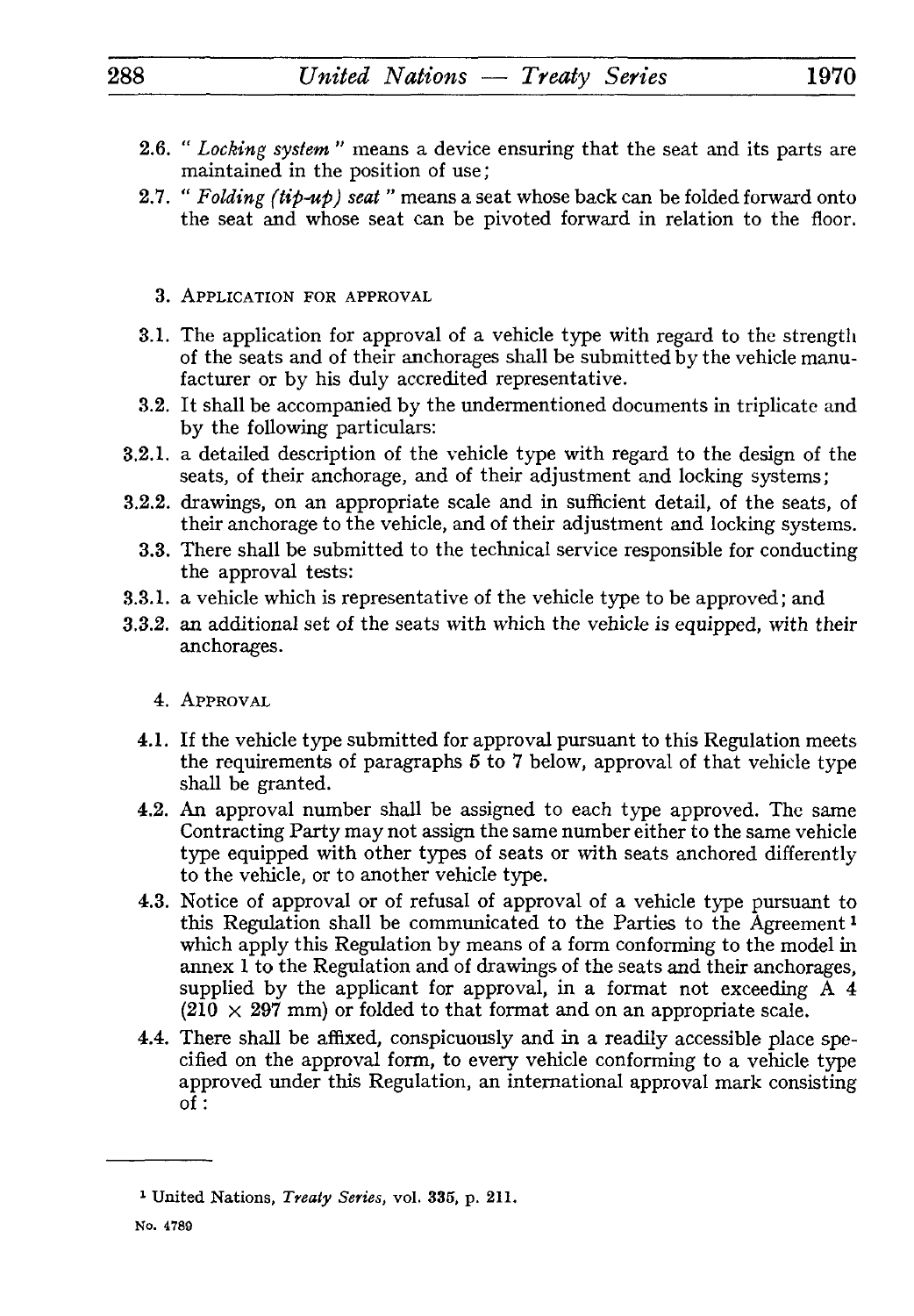- 2.6. " *Locking system "* means a device ensuring that the seat and its parts are maintained in the position of use ;
- 2.7. " *Folding (tip-up) seat "* means a seat whose back can be folded forward onto the seat and whose seat can be pivoted forward in relation to the floor.
	- 3. APPLICATION FOR APPROVAL
- 3.1. The application for approval of a vehicle type with regard to the strength of the seats and of their anchorages shall be submitted by the vehicle manufacturer or by his duly accredited representative.
- 3.2. It shall be accompanied by the undermentioned documents in triplicate and by the following particulars:
- 3.2.1. a detailed description of the vehicle type with regard to the design of the seats, of their anchorage, and of their adjustment and locking systems;
- 3.2.2. drawings, on an appropriate scale and in sufficient detail, of the seats, of their anchorage to the vehicle, and of their adjustment and locking systems.
	- 3.3. There shall be submitted to the technical service responsible for conducting the approval tests:
- 3.3.1. a vehicle which is representative of the vehicle type to be approved; and
- 3.3.2. an additional set of the seats with which the vehicle is equipped, with their anchorages.
	- 4. APPROVAL
	- 4.1. If the vehicle type submitted for approval pursuant to this Regulation meets the requirements of paragraphs 5 to 7 below, approval of that vehicle type shall be granted.
	- 4.2. An approval number shall be assigned to each type approved. The same Contracting Party may not assign the same number either to the same vehicle type equipped with other types of seats or with seats anchored differently to the vehicle, or to another vehicle type.
	- 4.3. Notice of approval or of refusal of approval of a vehicle type pursuant to this Regulation shall be communicated to the Parties to the Agreement *<sup>1</sup>* which apply this Regulation by means of a form conforming to the model in annex 1 to the Regulation and of drawings of the seats and their anchorages, supplied by the applicant for approval, in a format not exceeding  $A \, 4$  $(210 \times 297 \text{ mm})$  or folded to that format and on an appropriate scale.
	- 4.4. There shall be affixed, conspicuously and in a readily accessible place spe cified on the approval form, to every vehicle conforming to a vehicle type approved under this Regulation, an international approval mark consisting of:

<sup>1</sup> United Nations, *Treaty Series,* **vol.** 335, p. 211.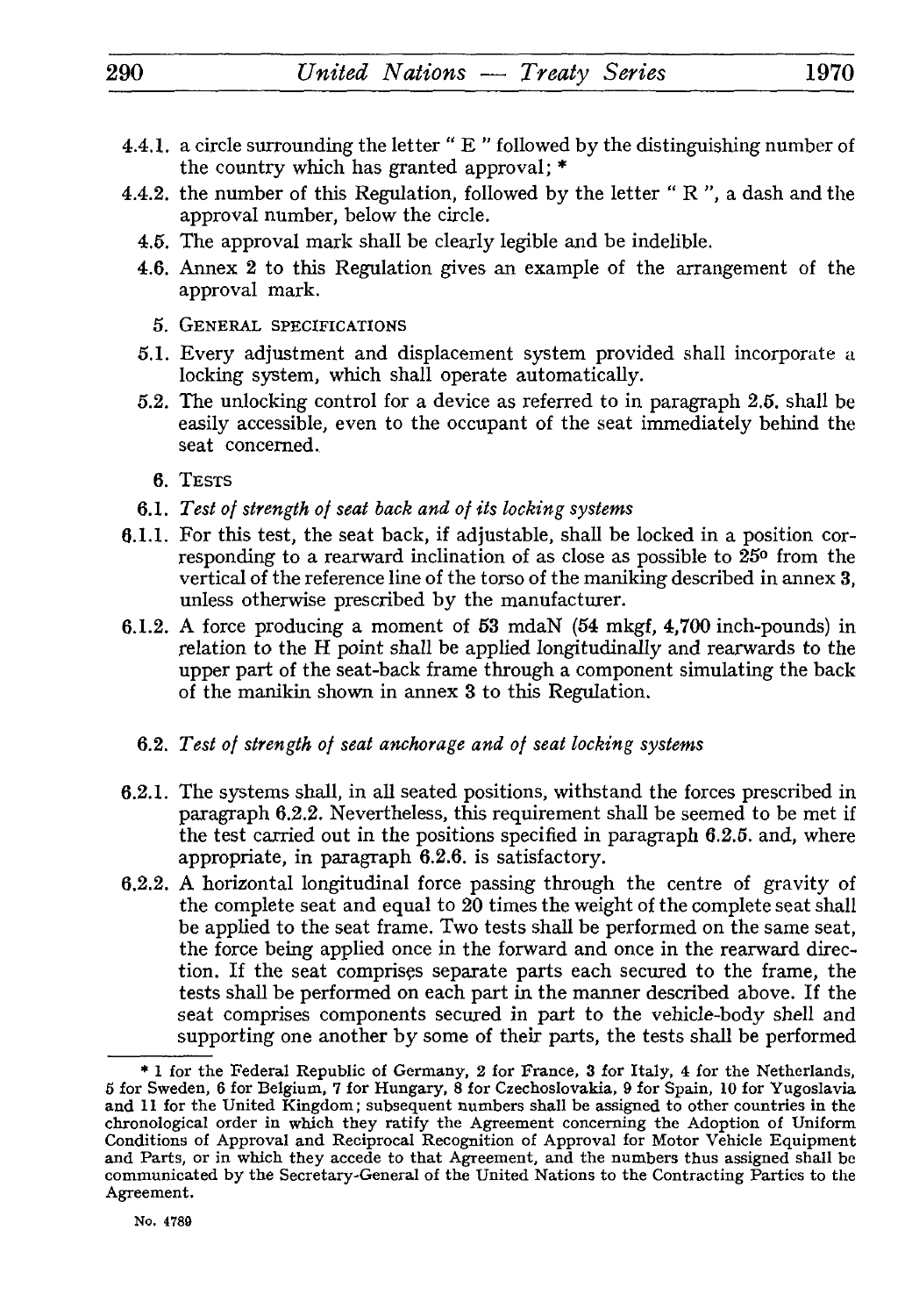- 4.4.1. a circle surrounding the letter " E " followed by the distinguishing number of the country which has granted approval; \*
- 4.4.2. the number of this Regulation, followed by the letter " $R$ ", a dash and the approval number, below the circle.
	- 4.5. The approval mark shall be clearly legible and be indelible.
	- 4.6. Annex 2 to this Regulation gives an example of the arrangement of the approval mark.
		- 5. GENERAL SPECIFICATIONS
	- *5.1.* Every adjustment and displacement system provided shall incorporate a locking system, which shall operate automatically.
	- 5.2. The unlocking control for a device as referred to in paragraph 2.5. shall be easily accessible, even to the occupant of the seat immediately behind the seat concerned.
		- 6. TESTS
	- 6.1. *Test of strength of seat back and of its locking systems*
- 6.1.1. For this test, the seat back, if adjustable, shall be locked in a position cor responding to a rearward inclination of as close as possible to 25° from the vertical of the reference line of the torso of the maniking described in annex 3, unless otherwise prescribed by the manufacturer.
- 6.1.2. A force producing a moment of 53 mdaN (54 mkgf, 4,700 inch-pounds) in relation to the H point shall be applied longitudinally and rearwards to the upper part of the seat-back frame through a component simulating the back of the manikin shown in annex 3 to this Regulation.
	- 6.2. *Test of strength of seat anchorage and of seat locking systems*
- 6.2.1. The systems shall, in all seated positions, withstand the forces prescribed in paragraph 6.2.2. Nevertheless, this requirement shall be seemed to be met if the test carried out in the positions specified in paragraph 6.2.5. and, where appropriate, in paragraph 6.2.6. is satisfactory.
- 6.2.2. A horizontal longitudinal force passing through the centre of gravity of the complete seat and equal to 20 times the weight of the complete seat shall be applied to the seat frame. Two tests shall be performed on the same seat, the force being applied once in the forward and once in the rearward direc tion. If the seat comprises separate parts each secured to the frame, the tests shall be performed on each part in the manner described above. If the seat comprises components secured in part to the vehicle-body shell and supporting one another by some of their parts, the tests shall be performed

<sup>\* 1</sup> for the Federal Republic of Germany, 2 for France, 3 for Italy, 4 for the Netherlands, 5 for Sweden, 6 for Belgium, 7 for Hungary, 8 for Czechoslovakia, 9 for Spain, 10 for Yugoslavia and 11 for the United Kingdom; subsequent numbers shall be assigned to other countries in the chronological order in which they ratify the Agreement concerning the Adoption of Uniform Conditions of Approval and Reciprocal Recognition of Approval for Motor Vehicle Equipment and Parts, or in which they accede to that Agreement, and the numbers thus assigned shall be communicated by the Secretary-General of the United Nations to the Contracting Parties to the Agreement.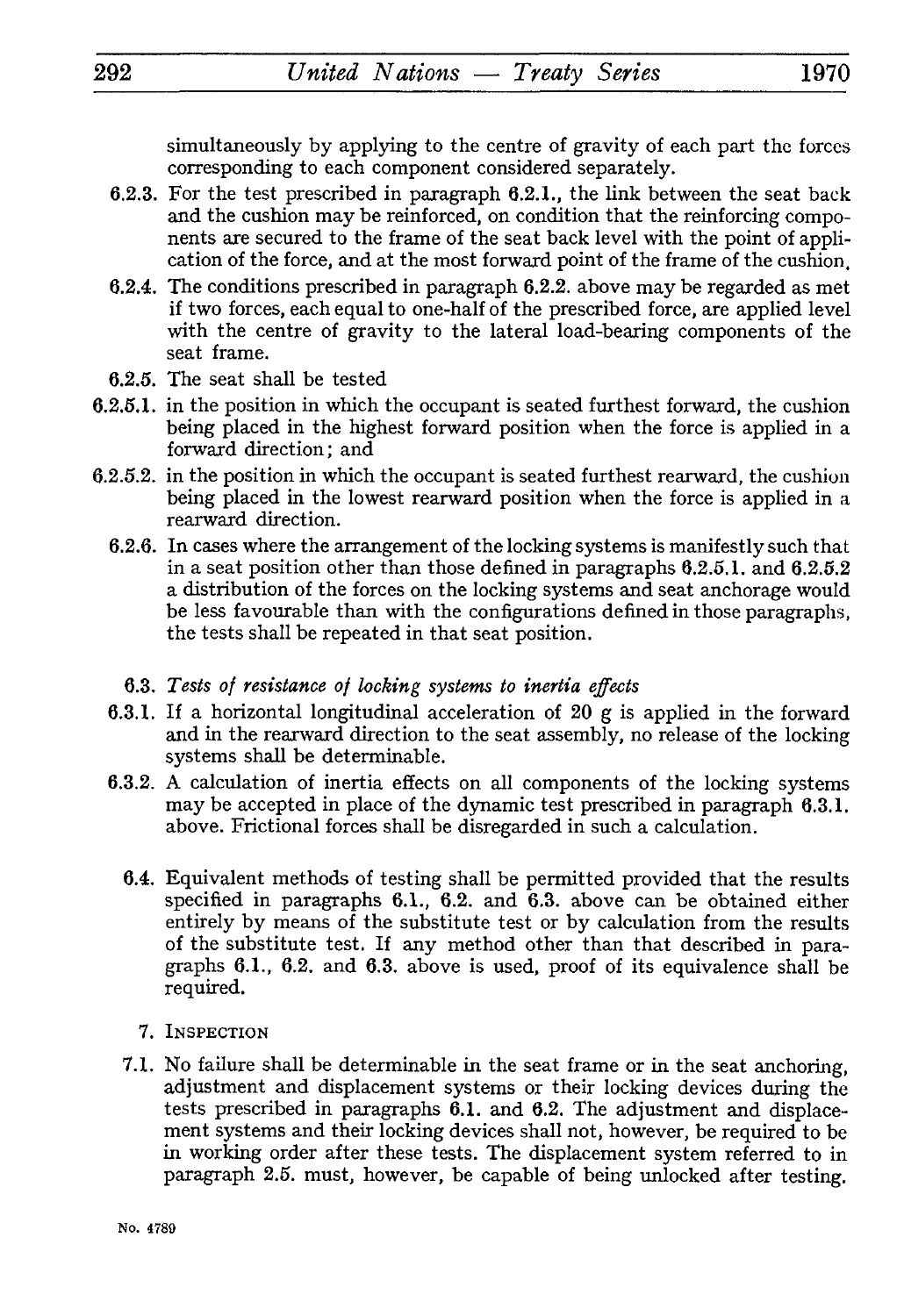simultaneously by applying to the centre of gravity of each part the forces corresponding to each component considered separately.

- 6.2.3. For the test prescribed in paragraph 6.2.1., the link between the seat back and the cushion may be reinforced, on condition that the reinforcing compo nents are secured to the frame of the seat back level with the point of appli cation of the force, and at the most forward point of the frame of the cushion.
- 6.2.4. The conditions prescribed in paragraph 6.2.2. above may be regarded as met if two forces, each equal to one-half of the prescribed force, are applied level with the centre of gravity to the lateral load-bearing components of the seat frame.
- 6.2.5. The seat shall be tested
- 6.2.5.1. in the position in which the occupant is seated furthest forward, the cushion being placed in the highest forward position when the force is applied in a forward direction; and
- 6.2.5.2. in the position in which the occupant is seated furthest rearward, the cushion being placed in the lowest rearward position when the force is applied in a rearward direction.
	- 6.2.6. In cases where the arrangement of the locking systems is manifestly such that in a seat position other than those defined in paragraphs 6.2.5.1. and 6.2.5.2 a distribution of the forces on the locking systems and seat anchorage would be less favourable than with the configurations defined in those paragraphs, the tests shall be repeated in that seat position.
		- 6.3. *Tests of resistance of locking systems to inertia effects*
	- 6.3.1. If a horizontal longitudinal acceleration of 20 g is applied in the forward and in the rearward direction to the seat assembly, no release of the locking systems shall be determinable.
	- 6.3.2. A calculation of inertia effects on all components of the locking systems may be accepted in place of the dynamic test prescribed in paragraph 6.3.1. above. Frictional forces shall be disregarded in such a calculation.
		- 6.4. Equivalent methods of testing shall be permitted provided that the results specified in paragraphs 6.1., 6.2. and 6.3. above can be obtained either entirely by means of the substitute test or by calculation from the results of the substitute test. If any method other than that described in para graphs 6.1., 6.2. and 6.3. above is used, proof of its equivalence shall be required.
			- 7. INSPECTION
		- 7.1. No failure shall be determinable in the seat frame or in the seat anchoring, adjustment and displacement systems or their locking devices during the tests prescribed in paragraphs 6.1. and 6.2. The adjustment and displace ment systems and their locking devices shall not, however, be required to be in working order after these tests. The displacement system referred to in paragraph 2.5. must, however, be capable of being unlocked after testing.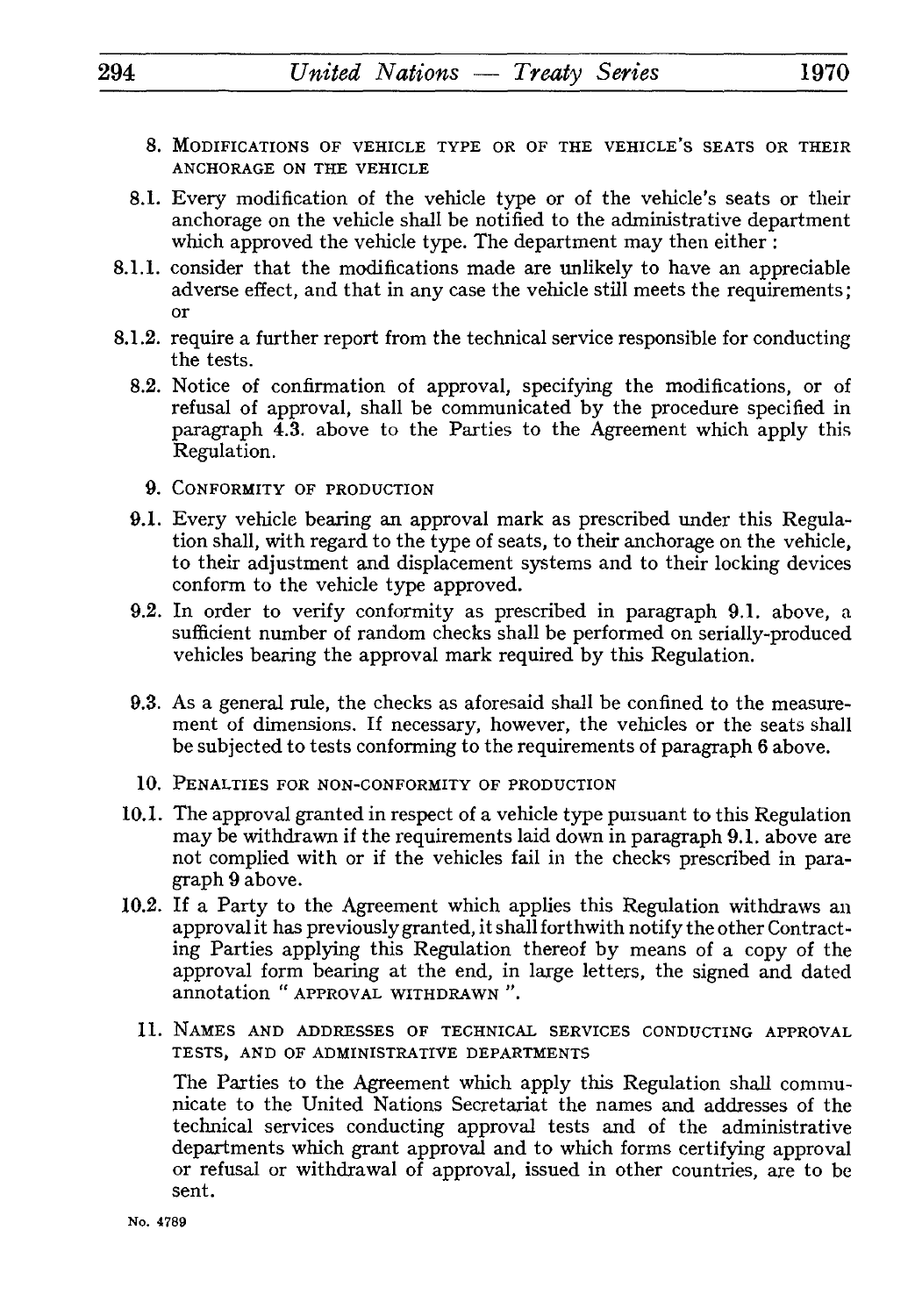- 8. MODIFICATIONS OF VEHICLE TYPE OR OF THE VEHICLE'S SEATS OR THEIR ANCHORAGE ON THE VEHICLE
- 8.1. Every modification of the vehicle type or of the vehicle's seats or their anchorage on the vehicle shall be notified to the administrative department which approved the vehicle type. The department may then either :
- 8.1.1. consider that the modifications made are unlikely to have an appreciable adverse effect, and that in any case the vehicle still meets the requirements ; or
- 8.1.2. require a further report from the technical service responsible for conducting the tests.
	- 8.2. Notice of confirmation of approval, specifying the modifications, or of refusal of approval, shall be communicated by the procedure specified in paragraph **4.3.** above to the Parties to the Agreement which apply this Regulation.
		- 9. CONFORMITY OF PRODUCTION
	- 9.1. Every vehicle bearing an approval mark as prescribed under this Regula tion shall, with regard to the type of seats, to their anchorage on the vehicle, to their adjustment and displacement systems and to their locking devices conform to the vehicle type approved.
	- 9.2. In order to verify conformity as prescribed in paragraph 9.1. above, a sufficient number of random checks shall be performed on serially-produced vehicles bearing the approval mark required by this Regulation.
	- 9.3. As a general rule, the checks as aforesaid shall be confined to the measure ment of dimensions. If necessary, however, the vehicles or the seats shall be subjected to tests conforming to the requirements of paragraph 6 above.
	- 10. PENALTIES FOR NON-CONFORMITY OF PRODUCTION
- 10.1. The approval granted in respect of a vehicle type pursuant to this Regulation may be withdrawn if the requirements laid down in paragraph 9.1. above are not complied with or if the vehicles fail in the checks prescribed in para graph 9 above.
- 10.2. If a Party to the Agreement which applies this Regulation withdraws an approval it has previously granted, it shall forthwith notify the other Contract ing Parties applying this Regulation thereof by means of a copy of the approval form bearing at the end, in large letters, the signed and dated annotation " APPROVAL WITHDRAWN ".
	- **11.** NAMES AND ADDRESSES OF TECHNICAL SERVICES CONDUCTING APPROVAL TESTS, AND OF ADMINISTRATIVE DEPARTMENTS

The Parties to the Agreement which apply this Regulation shall commu nicate to the United Nations Secretariat the names and addresses of the technical services conducting approval tests and of the administrative departments which grant approval and to which forms certifying approval or refusal or withdrawal of approval, issued in other countries, are to be sent.

No. 4789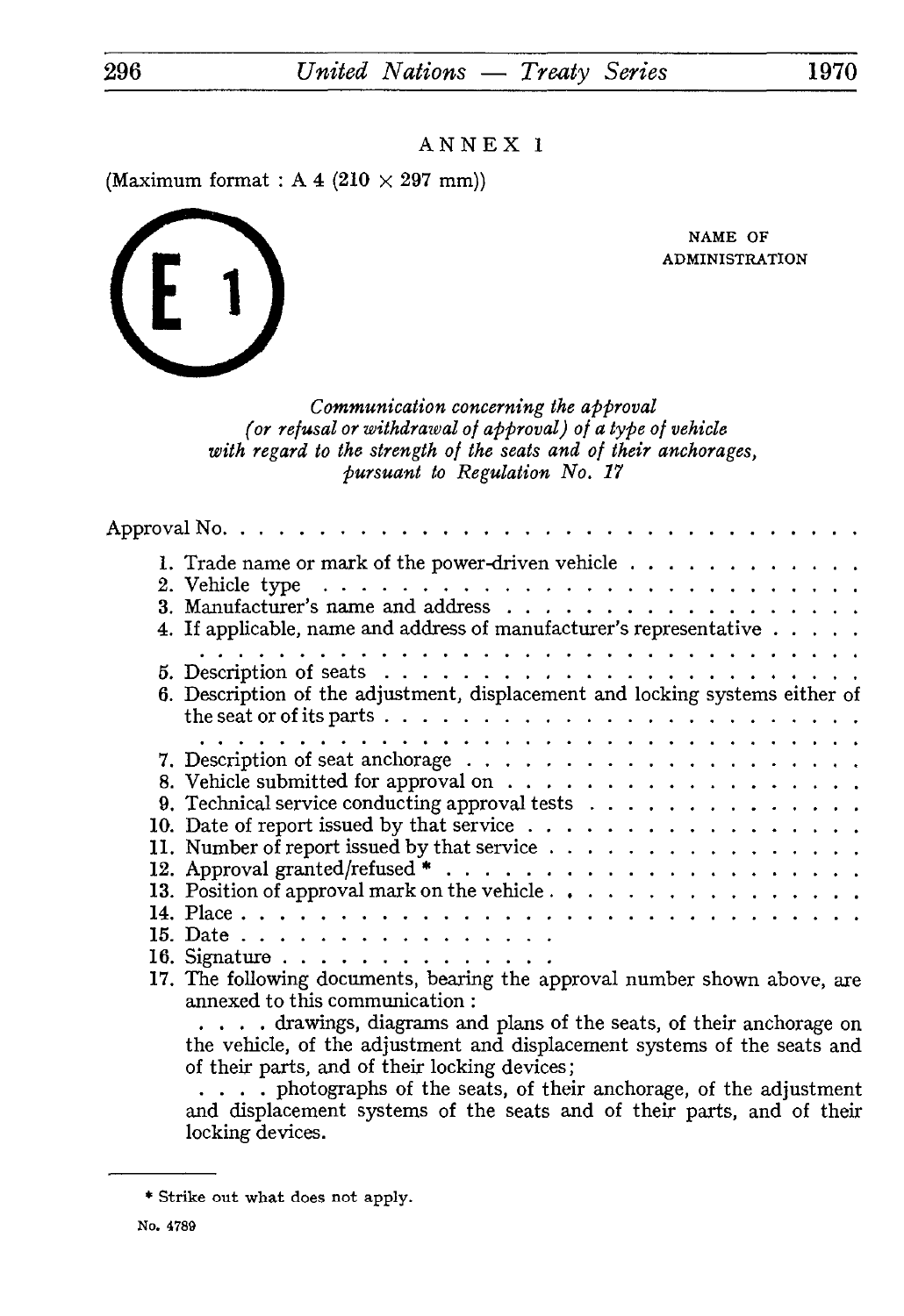(Maximum format : A 4  $(210 \times 297$  mm))

NAME OF ADMINISTRATION

*Communication concerning the approval (or refusal or withdrawal of approval) of a type of vehicle with regard to the strength of the seats and of their anchorages, pursuant to Regulation No. 17*

| 1. Trade name or mark of the power-driven vehicle $\ldots$                                                     |
|----------------------------------------------------------------------------------------------------------------|
| 4. If applicable, name and address of manufacturer's representative $\ldots$ ,                                 |
|                                                                                                                |
| 6. Description of the adjustment, displacement and locking systems either of                                   |
|                                                                                                                |
|                                                                                                                |
|                                                                                                                |
| 9. Technical service conducting approval tests $\ldots$                                                        |
|                                                                                                                |
| 11. Number of report issued by that service $\ldots$                                                           |
|                                                                                                                |
|                                                                                                                |
|                                                                                                                |
| 15. Date $\ldots$                                                                                              |
| 16. Signature                                                                                                  |
| 17. The following documents, bearing the approval number shown above, are<br>annexed to this communication:    |
| . drawings, diagrams and plans of the seats, of their anchorage on                                             |
| the vehicle, of the adjustment and displacement systems of the seats and                                       |
| of their parts, and of their locking devices;                                                                  |
| an battanggan baga di dibagan dan bagi di dibatan dan bagaya dan di dibagai dan bagaya dan bagaya da di dibaga |

.... photographs of the seats, of their anchorage, of the adjustment and displacement systems of the seats and of their parts, and of their locking devices.



<sup>\*</sup> Strike out what does not apply.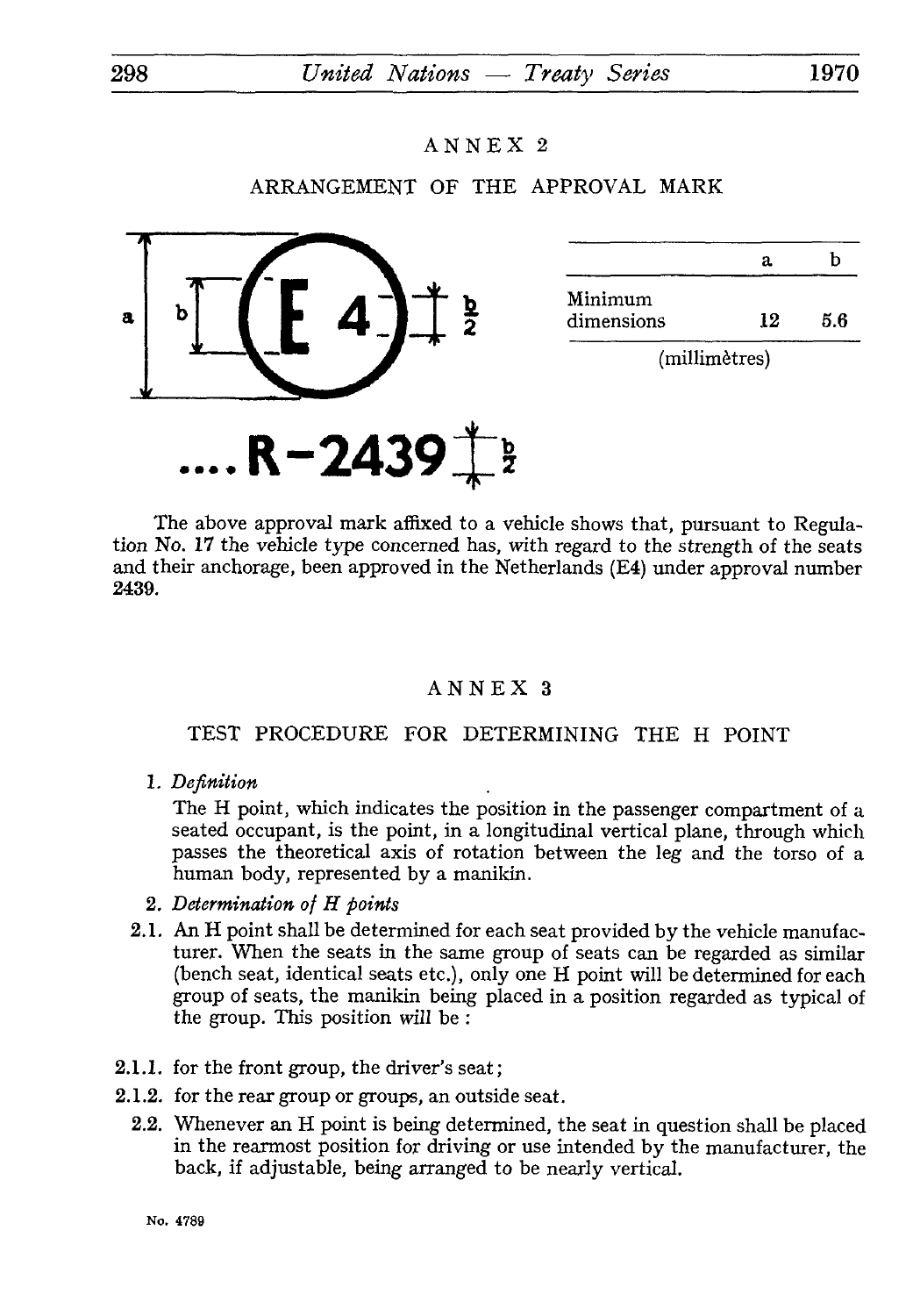## ARRANGEMENT OF THE APPROVAL MARK



|                       | а   | h   |
|-----------------------|-----|-----|
| Minimum<br>dimensions | 19. | 5.6 |
|                       |     |     |
|                       |     |     |

(millimètres)

The above approval mark affixed to a vehicle shows that, pursuant to Regula tion No. 17 the vehicle type concerned has, with regard to the strength of the seats and their anchorage, been approved in the Netherlands (E4) under approval number 2439.

## ANNEX 3

## TEST PROCEDURE FOR DETERMINING THE H POINT

1. *Definition*

The H point, which indicates the position in the passenger compartment of a seated occupant, is the point, in a longitudinal vertical plane, through which passes the theoretical axis of rotation between the leg and the torso of a human body, represented by a manikin.

- 2. *Determination of H points*
- 2.1. An H point shall be determined for each seat provided by the vehicle manufac turer. When the seats in the same group of seats can be regarded as similar (bench seat, identical seats etc.), only one H point will be determined for each group of seats, the manikin being placed in a position regarded as typical of the group. This position will be :
- 2.1.1. for the front group, the driver's seat;
- 2.1.2. for the rear group or groups, an outside seat.
	- 2.2. Whenever an H point is being determined, the seat in question shall be placed in the rearmost position for driving or use intended by the manufacturer, the back, if adjustable, being arranged to be nearly vertical.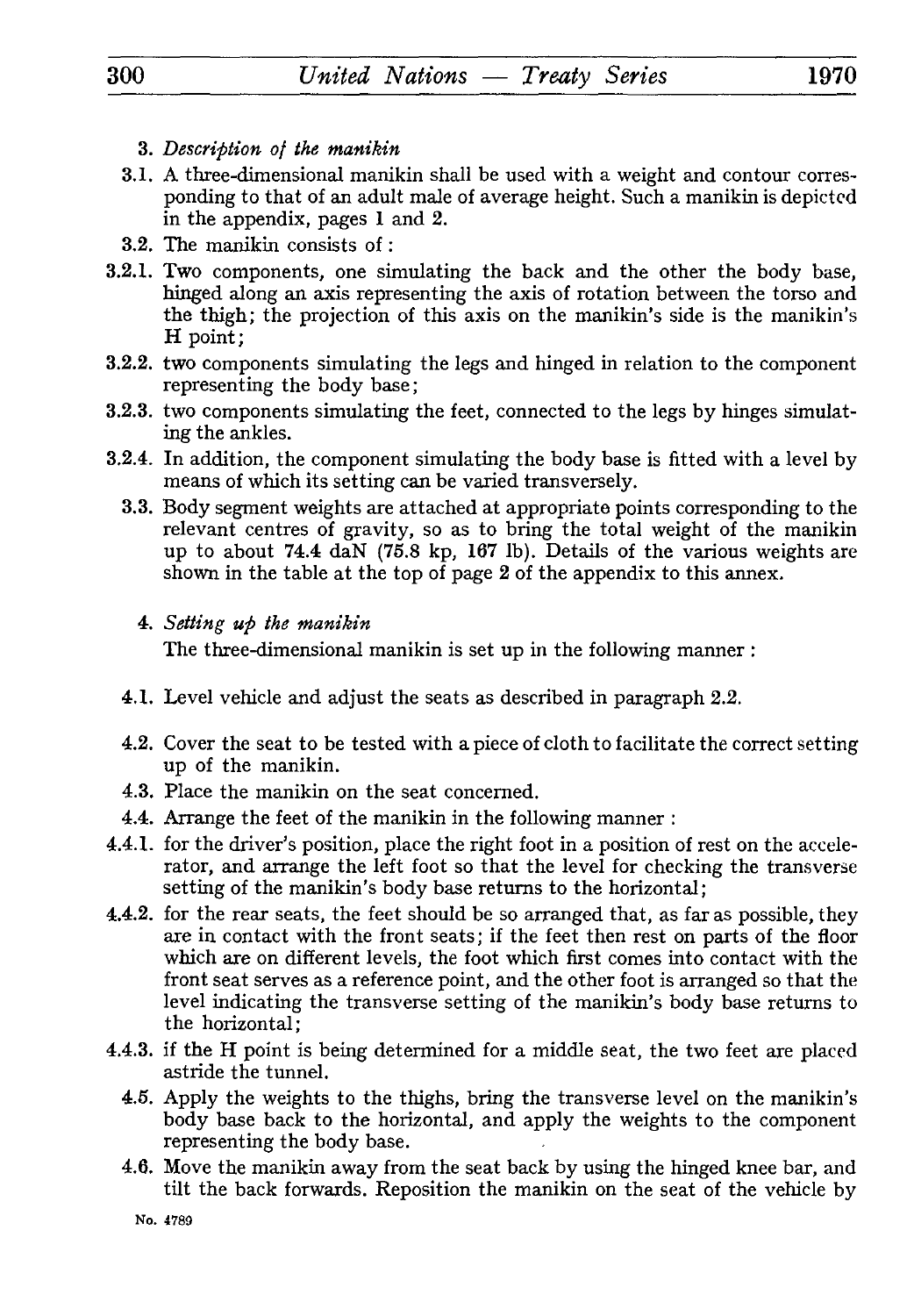- 3. *Description of the manikin*
- 3.1. A three-dimensional manikin shall be used with a weight and contour corres ponding to that of an adult male of average height. Such a manikin is depicted in the appendix, pages 1 and 2.
- 3.2. The manikin consists of :
- 3.2.1. Two components, one simulating the back and the other the body base, hinged along an axis representing the axis of rotation between the torso and the thigh; the projection of this axis on the manikin's side is the manikin's H point;
- 3.2.2. two components simulating the legs and hinged in relation to the component representing the body base ;
- 3.2.3. two components simulating the feet, connected to the legs by hinges simulat ing the ankles.
- 3.2.4. In addition, the component simulating the body base is fitted with a level by means of which its setting can be varied transversely.
	- 3.3. Body segment weights are attached at appropriate points corresponding to the relevant centres of gravity, so as to bring the total weight of the manikin up to about 74.4 daN (75.8 kp, 167 Ib). Details of the various weights are shown in the table at the top of page 2 of the appendix to this annex.

## 4. *Setting up the manikin*

The three-dimensional manikin is set up in the following manner :

- 4.1. Level vehicle and adjust the seats as described in paragraph 2.2.
- 4.2. Cover the seat to be tested with a piece of cloth to facilitate the correct setting up of the manikin.
- 4.3. Place the manikin on the seat concerned.
- 4.4. Arrange the feet of the manikin in the following manner :
- 4.4.1. for the driver's position, place the right foot in a position of rest on the accele rator, and arrange the left foot so that the level for checking the transverse setting of the manikin's body base returns to the horizontal;
- 4.4.2. for the rear seats, the feet should be so arranged that, as far as possible, they are in contact with the front seats; if the feet then rest on parts of the floor which are on different levels, the foot which first comes into contact with the front seat serves as a reference point, and the other foot is arranged so that the level indicating the transverse setting of the manikin's body base returns to the horizontal;
- 4.4.3. if the H point is being determined for a middle seat, the two feet are placed astride the tunnel.
	- 4.5. Apply the weights to the thighs, bring the transverse level on the manikin's body base back to the horizontal, and apply the weights to the component representing the body base.
	- 4.6. Move the manikin away from the seat back by using the hinged knee bar, and tilt the back forwards. Reposition the manikin on the seat of the vehicle by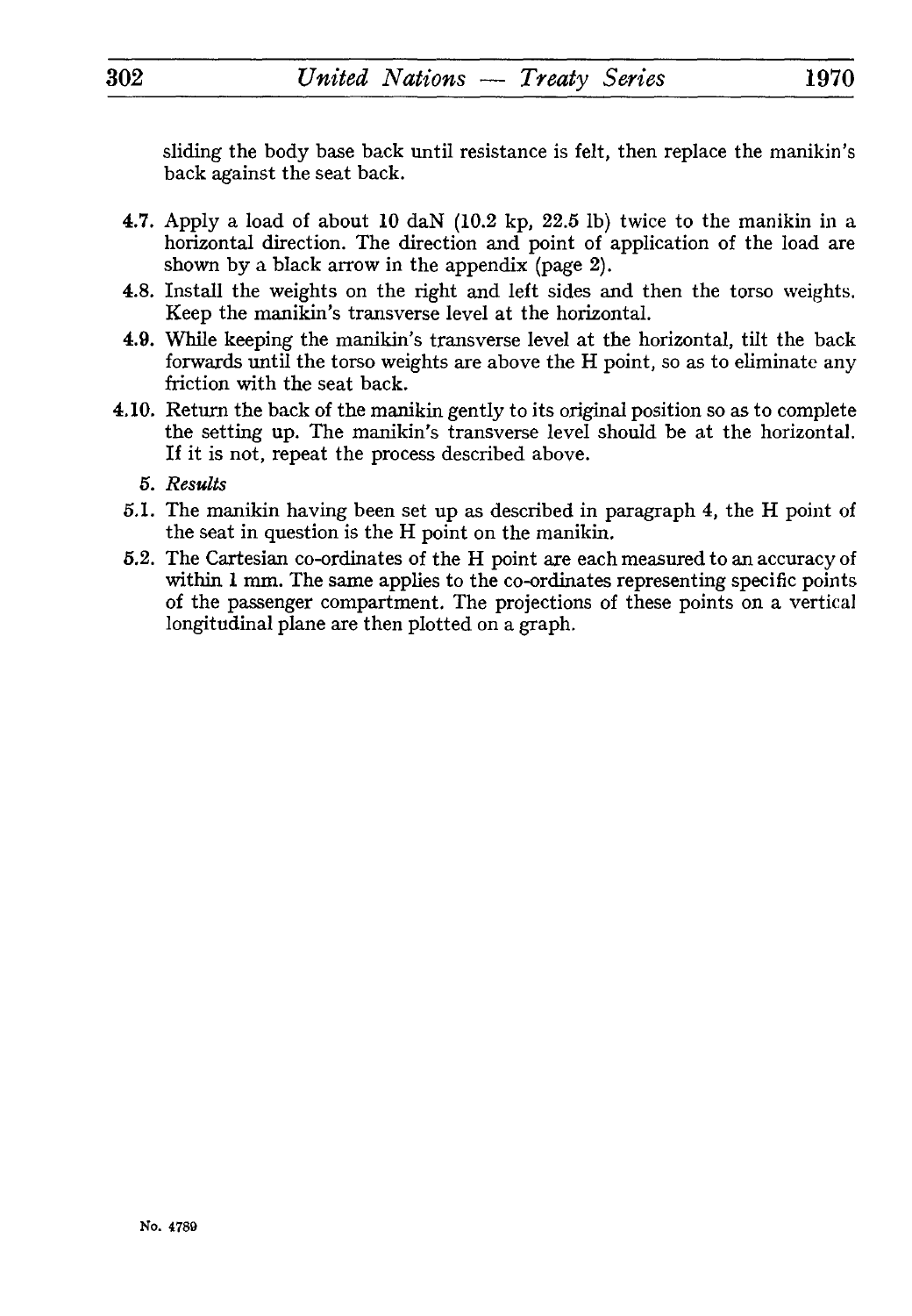sliding the body base back until resistance is felt, then replace the manikin's back against the seat back.

- 4.7. Apply a load of about 10 daN (10.2 kp, 22.5 Ib) twice to the manikin in a horizontal direction. The direction and point of application of the load are shown by a black arrow in the appendix (page 2).
- 4.8. Install the weights on the right and left sides and then the torso weights. Keep the manikin's transverse level at the horizontal.
- 4.9. While keeping the manikin's transverse level at the horizontal, tilt the back forwards until the torso weights are above the H point, so as to eliminate any friction with the seat back.
- 4.10. Return the back of the manikin gently to its original position so as to complete the setting up. The manikin's transverse level should be at the horizontal. If it is not, repeat the process described above.
	- 5. *Results*
	- 5.1. The manikin having been set up as described in paragraph 4, the H point of the seat in question is the H point on the manikin.
	- 5.2. The Cartesian co-ordinates of the H point are each measured to an accuracy of within 1 mm. The same applies to the co-ordinates representing specific points of the passenger compartment. The projections of these points on a vertical longitudinal plane are then plotted on a graph.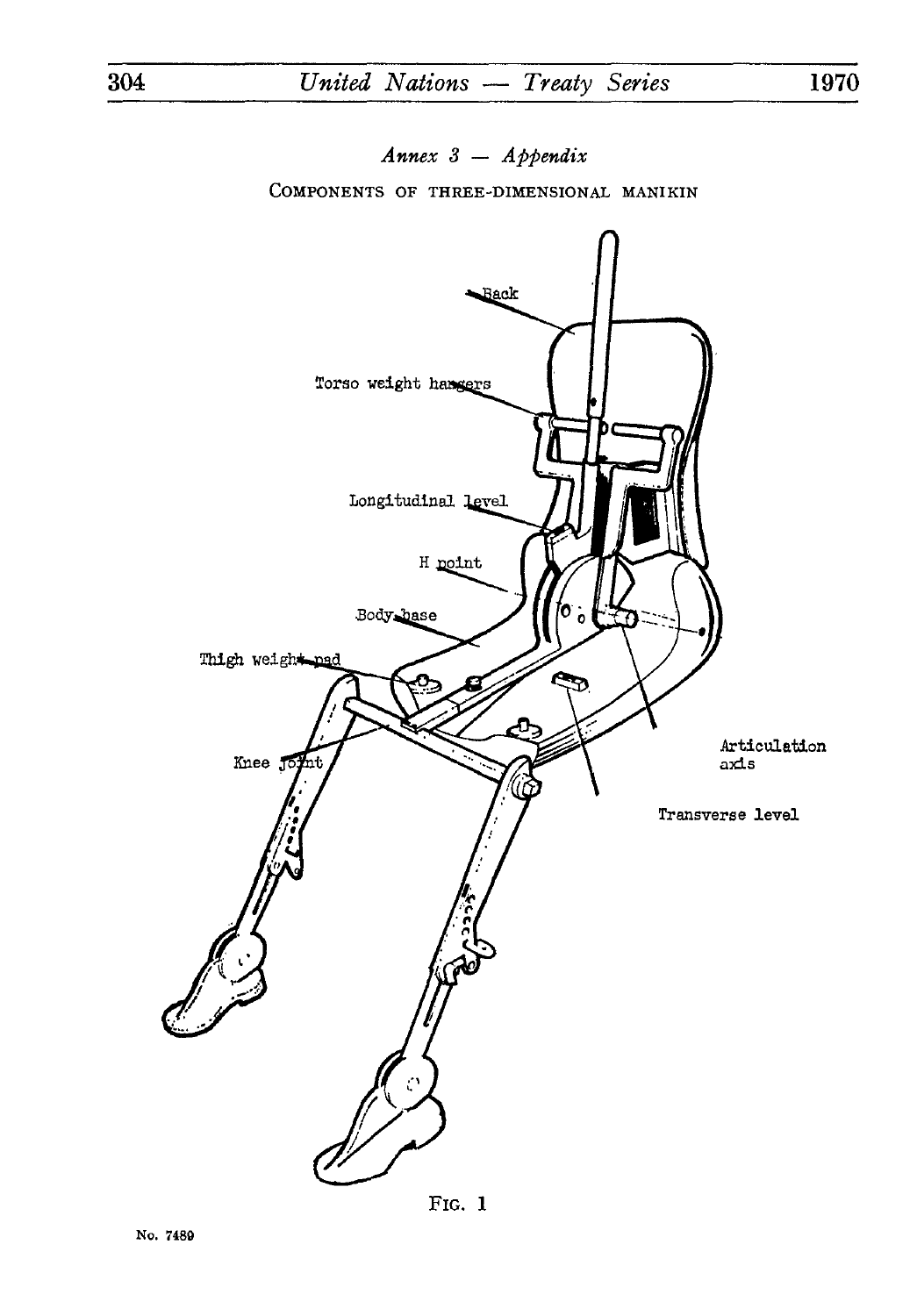Annex  $3 - Appendix$ 

COMPONENTS OF THREE-DIMENSIONAL MANIKIN



FIG.  $1$